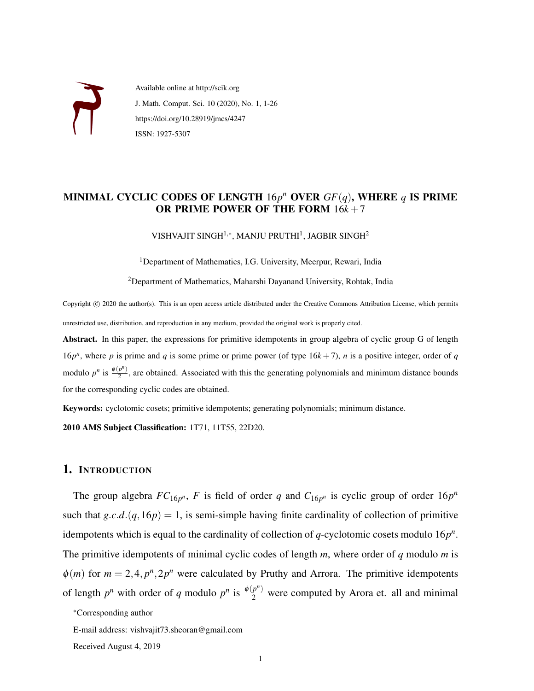

Available online at http://scik.org J. Math. Comput. Sci. 10 (2020), No. 1, 1-26 https://doi.org/10.28919/jmcs/4247 ISSN: 1927-5307

## MINIMAL CYCLIC CODES OF LENGTH 16*p <sup>n</sup>* OVER *GF*(*q*), WHERE *q* IS PRIME OR PRIME POWER OF THE FORM 16*k* +7

VISHVAJIT SINGH $^{1,\ast}$ , MANJU PRUTHI $^{1}$ , JAGBIR SINGH $^{2}$ 

<sup>1</sup>Department of Mathematics, I.G. University, Meerpur, Rewari, India

<sup>2</sup>Department of Mathematics, Maharshi Dayanand University, Rohtak, India

Copyright (c) 2020 the author(s). This is an open access article distributed under the Creative Commons Attribution License, which permits unrestricted use, distribution, and reproduction in any medium, provided the original work is properly cited.

Abstract. In this paper, the expressions for primitive idempotents in group algebra of cyclic group G of length 16 $p<sup>n</sup>$ , where *p* is prime and *q* is some prime or prime power (of type 16 $k + 7$ ), *n* is a positive integer, order of *q* modulo  $p^n$  is  $\frac{\phi(p^n)}{2}$  $\frac{p}{2}$ , are obtained. Associated with this the generating polynomials and minimum distance bounds for the corresponding cyclic codes are obtained.

Keywords: cyclotomic cosets; primitive idempotents; generating polynomials; minimum distance.

2010 AMS Subject Classification: 1T71, 11T55, 22D20.

#### 1. INTRODUCTION

The group algebra  $FC_{16p^n}$ , F is field of order q and  $C_{16p^n}$  is cyclic group of order  $16p^n$ such that  $g.c.d.(q,16p) = 1$ , is semi-simple having finite cardinality of collection of primitive idempotents which is equal to the cardinality of collection of *q*-cyclotomic cosets modulo 16*p n* . The primitive idempotents of minimal cyclic codes of length *m*, where order of *q* modulo *m* is  $\phi(m)$  for  $m = 2, 4, p^n, 2p^n$  were calculated by Pruthy and Arrora. The primitive idempotents of length  $p^n$  with order of *q* modulo  $p^n$  is  $\frac{\phi(p^n)}{2}$  were computed by Arora et. all and minimal

<sup>∗</sup>Corresponding author

E-mail address: vishvajit73.sheoran@gmail.com

Received August 4, 2019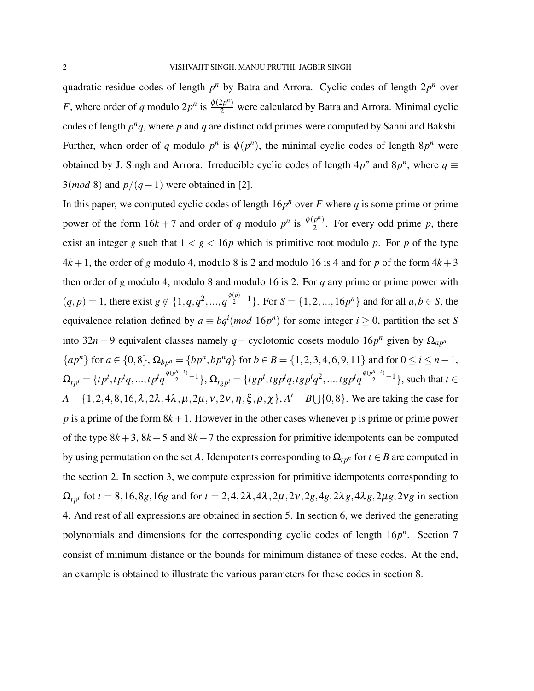quadratic residue codes of length  $p^n$  by Batra and Arrora. Cyclic codes of length  $2p^n$  over *F*, where order of *q* modulo  $2p^n$  is  $\frac{\phi(2p^n)}{2}$  were calculated by Batra and Arrora. Minimal cyclic codes of length  $p^n q$ , where  $p$  and  $q$  are distinct odd primes were computed by Sahni and Bakshi. Further, when order of *q* modulo  $p^n$  is  $\phi(p^n)$ , the minimal cyclic codes of length  $8p^n$  were obtained by J. Singh and Arrora. Irreducible cyclic codes of length  $4p^n$  and  $8p^n$ , where  $q \equiv$ 3(*mod* 8) and *p*/(*q*−1) were obtained in [2].

In this paper, we computed cyclic codes of length  $16p^n$  over *F* where *q* is some prime or prime power of the form  $16k + 7$  and order of *q* modulo  $p^n$  is  $\frac{\phi(p^n)}{2}$  $\frac{p}{2}$ . For every odd prime *p*, there exist an integer *g* such that  $1 < g < 16p$  which is primitive root modulo *p*. For *p* of the type  $4k+1$ , the order of *g* modulo 4, modulo 8 is 2 and modulo 16 is 4 and for *p* of the form  $4k+3$ then order of g modulo 4, modulo 8 and modulo 16 is 2. For *q* any prime or prime power with  $(q, p) = 1$ , there exist  $g \notin \{1, q, q^2, ..., q^{\frac{\phi(p)}{2} - 1}\}$ . For  $S = \{1, 2, ..., 16p^n\}$  and for all  $a, b \in S$ , the equivalence relation defined by  $a \equiv bq^i (mod 16p^n)$  for some integer  $i \ge 0$ , partition the set *S* into 32*n* + 9 equivalent classes namely *q* − cyclotomic cosets modulo 16*p<sup>n</sup>* given by  $\Omega_{ap^n} =$  ${ap^n}$  for  $a \in \{0,8\}$ ,  $\Omega_{bp^n} = {bp^n, bp^nq}$  for  $b \in B = {1,2,3,4,6,9,11}$  and for  $0 \le i \le n-1$ ,  $\Omega_{tp^i}=\{tp^i, tp^iq, ..., tp^iq^{\frac{\phi(p^{n-i})}{2}-1}\}, \Omega_{typ^i}=\{tgp^i, tgp^iq, tgp^iq^2, ..., tgp^iq^{\frac{\phi(p^{n-i})}{2}-1}\},$  such that  $t\in$  $A = \{1, 2, 4, 8, 16, \lambda, 2\lambda, 4\lambda, \mu, 2\mu, \nu, 2\nu, \eta, \xi, \rho, \chi\}, A' = B \cup \{0, 8\}.$  We are taking the case for  $p$  is a prime of the form  $8k+1$ . However in the other cases whenever p is prime or prime power of the type  $8k+3$ ,  $8k+5$  and  $8k+7$  the expression for primitive idempotents can be computed by using permutation on the set *A*. Idempotents corresponding to  $\Omega_{tp^n}$  for  $t \in B$  are computed in the section 2. In section 3, we compute expression for primitive idempotents corresponding to  $\Omega_{tp^i}$  fot  $t = 8, 16, 8g, 16g$  and for  $t = 2, 4, 2\lambda, 4\lambda, 2\mu, 2v, 2g, 4g, 2\lambda g, 4\lambda g, 2\mu g, 2vg$  in section 4. And rest of all expressions are obtained in section 5. In section 6, we derived the generating polynomials and dimensions for the corresponding cyclic codes of length  $16p^n$ . Section 7 consist of minimum distance or the bounds for minimum distance of these codes. At the end, an example is obtained to illustrate the various parameters for these codes in section 8.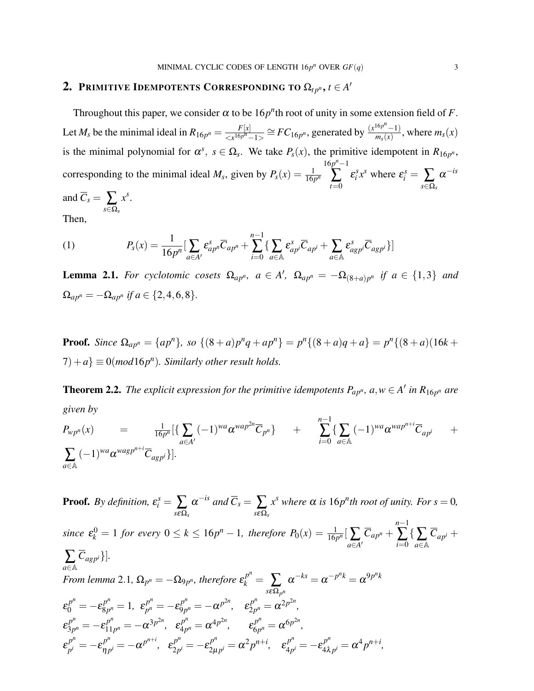## 2. Primitive Idempotents Corresponding to  $\Omega_{tp^n},$   $t\in A'$

Throughout this paper, we consider  $\alpha$  to be 16*p*<sup>n</sup>th root of unity in some extension field of *F*. Let  $M_s$  be the minimal ideal in  $R_{16p^n} = \frac{F[x]}{F^{16p^n}}$  $\frac{F[x]}{< x^{16p^n} - 1>} \cong FC_{16p^n}$ , generated by  $\frac{(x^{16p^n} - 1)}{m_s(x)}$  $\frac{m_r(x)-1}{m_s(x)}$ , where  $m_s(x)$ is the minimal polynomial for  $\alpha^s$ ,  $s \in \Omega_s$ . We take  $P_s(x)$ , the primitive idempotent in  $R_{16p^n}$ , corresponding to the minimal ideal  $M_s$ , given by  $P_s(x) = \frac{1}{16p^n}$  $16p^{n}-1$  $\sum_{t=0}$  $\varepsilon_i^s x^s$  where  $\varepsilon_i^s = \sum_{s \in \Omega_s}$  $\alpha$ <sup>-is</sup> and  $C_s = \sum_{s \in \Omega_s}$ *x s* .

Then,

(1) 
$$
P_s(x) = \frac{1}{16p^n} \left[ \sum_{a \in A'} \varepsilon_{ap^n}^s \overline{C}_{ap^n} + \sum_{i=0}^{n-1} \left\{ \sum_{a \in A} \varepsilon_{ap}^s \overline{C}_{ap^i} + \sum_{a \in A} \varepsilon_{agp}^s \overline{C}_{agp^i} \right\} \right]
$$

**Lemma 2.1.** For cyclotomic cosets  $\Omega_{ap^n}$ ,  $a \in A'$ ,  $\Omega_{ap^n} = -\Omega_{(8+a)p^n}$  if  $a \in \{1,3\}$  and  $\Omega_{ap^n} = -\Omega_{ap^n}$  *if*  $a \in \{2, 4, 6, 8\}.$ 

**Proof.** Since  $\Omega_{ap^n} = \{ap^n\}$ , so  $\{(8+a)p^nq + ap^n\} = p^n\{(8+a)q + a\} = p^n\{(8+a)(16k + a)\}$  $(7) + a$   $\equiv$  0(*mod* 16*p<sup>n</sup>*). Similarly other result holds.

**Theorem 2.2.** The explicit expression for the primitive idempotents  $P_{ap^n}$ ,  $a, w \in A'$  in  $R_{16p^n}$  are *given by*

$$
P_{wp^n}(x) = \frac{1}{16p^n} \left\{ \sum_{a \in A'} (-1)^{wa} \alpha^{wa} p^{2n} \overline{C}_{p^n} \right\} + \sum_{i=0}^{n-1} \left\{ \sum_{a \in A} (-1)^{wa} \alpha^{wa} p^{n+i} \overline{C}_{ap^i} + \sum_{a \in A} (-1)^{wa} \alpha^{wa} p^{n+i} \overline{C}_{ap^i} \right\}
$$

**Proof.** By definition,  $\varepsilon_i^s = \sum_{s \in \Omega_s}$  $\alpha^{-is}$  and  $\overline{C}_s = \sum_{s \in \Omega_s}$  $x^s$  *where*  $\alpha$  *is* 16*p*<sup>*n*</sup>**th root of unity. For**  $s = 0$ **,** *since*  $\varepsilon_k^0 = 1$  *for every*  $0 \le k \le 16p^n - 1$ *, therefore*  $P_0(x) = \frac{1}{16p^n} \left[ \sum_{a \in A'} \right]$  $\overline{C}_{ap^n}$  + *n*−1 ∑ { ∑<br>*i*=0 a∈A  $\overline{C}_{ap^i}$  + ∑ *a*∈A  $\overline{C}_{agp^i}\}.$ *From lemma* 2.1,  $\Omega_{p^n} = -\Omega_{9p^n}$ , therefore  $\varepsilon_k^{p^n} = \sum_k$ *s*εΩ*<sup>p</sup> n*  $\alpha^{-ks} = \alpha^{-p^nk} = \alpha^{9p^nk}$  $\varepsilon_0^{p^n} = -\varepsilon_{8p}^{p^n}$  $g_{p^n}^{p^n} = 1, \varepsilon_{p^n}^{p^n}$  $p^n_p = -\varepsilon^{p^n}_{9p}$  $g_{p^n}^{p^n} = -\alpha^{p^{2n}}, \quad \varepsilon_{2p}^{p^n}$  $a_{2p^n}^{p^n} = \alpha^{2p^{2n}},$  $\varepsilon_{3n}^{p^n}$  $\sigma_{3p^n}^{p^n} = -\varepsilon_{11}^{p^n}$  $\epsilon_{11}^{p^n} = -\alpha^{3p^{2n}}, \epsilon_{4p}^{p^n}$  $\epsilon_{4p^n}^{p^n} = \alpha^{4p^{2n}}, \qquad \epsilon_{6p}^{p^n}$  $\alpha_{6p^n}^{p^n} = \alpha^{6p^{2n}},$  $\varepsilon_{n}^{p^n}$  $p^n \over p^n = -\varepsilon \frac{p^n}{n}$  $\frac{p^n}{np^i} = -\alpha^{p^{n+i}}, \quad \varepsilon_{2p}^{p^n}$  $\lambda_{2p^i}^{p^n} = -\varepsilon_{2\mu}^{p^n}$  $z_{\mu p}^{p^n} = \alpha^2 p^{n+i}, \quad \varepsilon_{4p}^{p^n}$  $\frac{p^n}{4p^i} = -\epsilon_{4\lambda}^{p^n}$  $a_{4\lambda p^{i}}^{p^{n}} = \alpha^{4} p^{n+i}$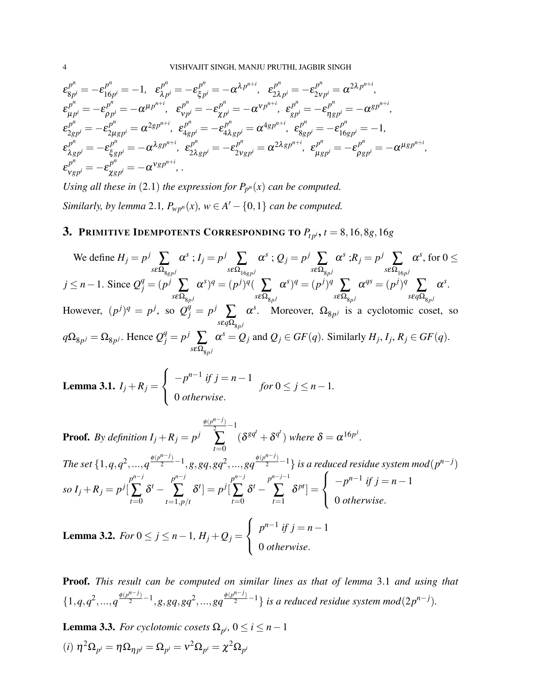$$
\begin{split}\n\epsilon_{g_{p^i}}^{p^n} = -\epsilon_{16p^i}^{p^n} = -1, & \epsilon_{\lambda p^i}^{p^n} = -\epsilon_{\xi p^i}^{p^n} = -\alpha^{\lambda p^{n+i}}, & \epsilon_{2\lambda p^i}^{p^n} = -\epsilon_{2\nu p^i}^{p^n} = \alpha^{2\lambda p^{n+i}}, \\
\epsilon_{\mu p^i}^{p^n} = -\epsilon_{\rho p^i}^{p^n} = -\alpha^{\mu p^{n+i}}, & \epsilon_{\nu p^i}^{p^n} = -\epsilon_{\chi p^i}^{p^n} = -\alpha^{\nu p^{n+i}}, & \epsilon_{g_{p^i}}^{p^n} = -\epsilon_{\eta g p^i}^{p^n} = -\alpha^{g p^{n+i}}, \\
\epsilon_{2g_{p^i}}^{p^n} = -\epsilon_{2\mu g_{p^i}}^{p^n} = \alpha^{2g_{p^{n+i}}}, & \epsilon_{4g_{p^i}}^{p^n} = -\epsilon_{4\lambda g_{p^i}}^{p^n} = \alpha^{4g_{p^{n+i}}}, & \epsilon_{8g_{p^i}}^{p^n} = -\epsilon_{16g_{p^i}}^{p^n} = -1, \\
\epsilon_{\lambda g_{p^i}}^{p^n} = -\epsilon_{\xi g_{p^i}}^{p^n} = -\alpha^{\lambda g_{p^{n+i}}}, & \epsilon_{2\lambda g_{p^i}}^{p^n} = -\epsilon_{2\nu g_{p^i}}^{p^n} = \alpha^{2\lambda g_{p^{n+i}}}, & \epsilon_{\mu g_{p^i}}^{p^n} = -\epsilon_{\rho g_{p^i}}^{p^n} = -\alpha^{\mu g_{p^{n+i}}}, \\
\epsilon_{\nu g_{p^i}}^{p^n} = -\epsilon_{\chi g_{p^i}}^{p^n} = -\alpha^{\nu g_{p^{n+i}}},\n\end{split}
$$

*Using all these in* (2.1) *the expression for*  $P_{p^n}(x)$  *can be computed. Similarly, by lemma* 2.1,  $P_{wp^n}(x)$ ,  $w \in A' - \{0,1\}$  *can be computed.* 

# 3. PRIMITIVE IDEMPOTENTS CORRESPONDING TO  $P_{tpi}$ ,  $t = 8, 16, 8g, 16g$

We define 
$$
H_j = p^j \sum_{s \in \Omega_{ggp} j} \alpha^s
$$
;  $I_j = p^j \sum_{s \in \Omega_{16gp} j} \alpha^s$ ;  $Q_j = p^j \sum_{s \in \Omega_{gpj}} \alpha^s$ ;  $R_j = p^j \sum_{s \in \Omega_{16p} j} \alpha^s$ , for  $0 \le j \le n-1$ . Since  $Q_j^q = (p^j \sum_{s \in \Omega_{gpj}} \alpha^s)^q = (p^j)^q (\sum_{s \in \Omega_{gpj}} \alpha^s)^q = (p^j)^q \sum_{s \in \Omega_{gpj}} \alpha^{qs} = (p^j)^q \sum_{s \in q\Omega_{gpj}} \alpha^s$ .  
However,  $(p^j)^q = p^j$ , so  $Q_j^q = p^j \sum_{s \in q\Omega_{gpj}} \alpha^s$ . Moreover,  $\Omega_{gpj}$  is a cyclotomic coset, so  $q\Omega_{gpj} = \Omega_{gpj}$ . Hence  $Q_j^q = p^j \sum_{s \in \Omega_{gpj}} \alpha^s = Q_j$  and  $Q_j \in GF(q)$ . Similarly  $H_j, I_j, R_j \in GF(q)$ .

**Lemma 3.1.** 
$$
I_j + R_j = \begin{cases} -p^{n-1} & \text{if } j = n-1 \\ 0 & \text{otherwise.} \end{cases}
$$
 for  $0 \le j \le n-1$ .

**Proof.** By definition  $I_j + R_j = p^j$  $\frac{\phi(p^{n-j})}{2} - 1$  $\sum_{\alpha}$   $(\delta^{gq^t} + \delta^{q^t})$  where  $\delta = \alpha^{16p^j}$ . *t*=0 The set  $\{1,q,q^2,...,q^{\frac{\phi(p^{n-j})}{2}-1},g, gq, gq^2,...,gq^{\frac{\phi(p^{n-j})}{2}-1}\}$  is a reduced residue system mod $(p^{n-j})$  $so I_j + R_j = p^j$ *p n*−*j*  $\sum_{t=0}$  $\delta^t$   $$ *p n*−*j*  $\sum_{t=1,p/t}$  $\delta^t] = p^j$ *p n*−*j*  $\sum_{t=0}$  $\delta^t$   $$ *p n*−*j*−1  $\sum_{t=1}$  $\delta^{pt}]=$  $\sqrt{ }$  $\int$  $\mathcal{L}$  $-p^{n-1}$  *if*  $j = n-1$ 0 *otherwise*. **Lemma 3.2.** *For* 0 ≤ *j* ≤ *n* − 1*, H<sub>j</sub>* +  $Q_j$  =  $\sqrt{ }$  $\int$  $\mathcal{L}$  $p^{n-1}$  *if*  $j = n-1$ 0 *otherwise*.

Proof. *This result can be computed on similar lines as that of lemma* 3.1 *and using that*  $\{1,q,q^2,...,q^{\frac{\phi(p^{n-j})}{2}-1},g,gq,gq^2,...,gq^{\frac{\phi(p^{n-j})}{2}-1}\}$  is a reduced residue system mod $(2p^{n-j}).$ 

**Lemma 3.3.** *For cyclotomic cosets*  $\Omega_{p^i}$ ,  $0 \le i \le n-1$  $\delta(\vec{r})$   $\eta^2 \Omega_{p^i} = \eta \Omega_{\eta p^i} = \Omega_{p^i} = \nu^2 \Omega_{p^i} = \chi^2 \Omega_{p^i}$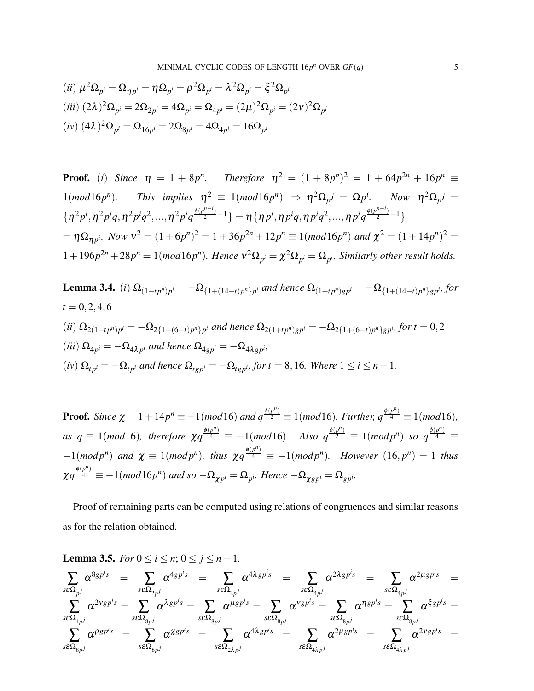$$
(ii) \ \mu^2 \Omega_{p^i} = \Omega_{\eta p^i} = \eta \Omega_{p^i} = \rho^2 \Omega_{p^i} = \lambda^2 \Omega_{p^i} = \xi^2 \Omega_{p^i}
$$
\n
$$
(iii) \ (2\lambda)^2 \Omega_{p^i} = 2\Omega_{2p^i} = 4\Omega_{p^i} = \Omega_{4p^i} = (2\mu)^2 \Omega_{p^i} = (2\nu)^2 \Omega_{p^i}
$$
\n
$$
(iv) \ (4\lambda)^2 \Omega_{p^i} = \Omega_{16p^i} = 2\Omega_{8p^i} = 4\Omega_{4p^i} = 16\Omega_{p^i}.
$$

**Proof.** (i) Since 
$$
\eta = 1 + 8p^n
$$
. Therefore  $\eta^2 = (1 + 8p^n)^2 = 1 + 64p^{2n} + 16p^n \equiv 1(mod16p^n)$ . This implies  $\eta^2 \equiv 1(mod16p^n) \Rightarrow \eta^2 \Omega_p i = \Omega p^i$ . Now  $\eta^2 \Omega_p i = \{\eta^2 p^i, \eta^2 p^i q, \eta^2 p^i q^2, ..., \eta^2 p^i q^{\frac{\phi(p^{n-i})}{2}-1}\} = \eta \{\eta p^i, \eta p^i q, \eta p^i q^2, ..., \eta p^i q^{\frac{\phi(p^{n-i})}{2}-1}\}$   
=  $\eta \Omega_{\eta p^i}$ . Now  $v^2 = (1 + 6p^n)^2 = 1 + 36p^{2n} + 12p^n \equiv 1(mod16p^n)$  and  $\chi^2 = (1 + 14p^n)^2 = 1 + 196p^{2n} + 28p^n = 1(mod16p^n)$ . Hence  $v^2 \Omega_{p^i} = \chi^2 \Omega_{p^i} = \Omega_{p^i}$ . Similarly other result holds.

**Lemma 3.4.** (i) 
$$
\Omega_{(1+tp^n)p^i} = -\Omega_{\{1+(14-t)p^n\}p^i}
$$
 and hence  $\Omega_{(1+tp^n)gp^i} = -\Omega_{\{1+(14-t)p^n\}gp^i}$ , for  
\n $t = 0, 2, 4, 6$   
\n(ii)  $\Omega_{2(1+tp^n)p^i} = -\Omega_{2\{1+(6-t)p^n\}p^i}$  and hence  $\Omega_{2(1+tp^n)gp^i} = -\Omega_{2\{1+(6-t)p^n\}gp^i}$ , for  $t = 0, 2$   
\n(iii)  $\Omega_{4p^i} = -\Omega_{4\lambda p^i}$  and hence  $\Omega_{4gp^i} = -\Omega_{4\lambda gp^i}$ ,  
\n(iv)  $\Omega_{tp^i} = -\Omega_{tp^i}$  and hence  $\Omega_{tgp^i} = -\Omega_{tgp^i}$ , for  $t = 8, 16$ . Where  $1 \le i \le n - 1$ .

**Proof.** Since  $\chi = 1 + 14p^n \equiv -1(mod16)$  and  $q^{\frac{\phi(p^n)}{2}} \equiv 1(mod16)$ *. Further,*  $q^{\frac{\phi(p^n)}{4}} \equiv 1(mod16)$ *,*  $as \, q \equiv 1 \pmod{16}$ , therefore  $\chi q^{\frac{\phi(p^n)}{4}} \equiv -1 \pmod{16}$ . Also  $q^{\frac{\phi(p^n)}{2}} \equiv 1 \pmod{p^n}$  so  $q^{\frac{\phi(p^n)}{4}} \equiv 1$  $-1(mod p^n)$  and  $\chi \equiv 1(mod p^n)$ , thus  $\chi q^{\frac{\phi(p^n)}{4}} \equiv -1(mod p^n)$ . However  $(16, p^n) = 1$  thus  $\chi q^{\frac{\phi(p^n)}{4}} \equiv -1 (mod 16p^n)$  and so  $-\Omega_{\chi p^i} = \Omega_{p^i}$ . Hence  $-\Omega_{\chi gp^i} = \Omega_{gp^i}$ .

Proof of remaining parts can be computed using relations of congruences and similar reasons as for the relation obtained.

**Lemma 3.5.** *For*  $0 \le i \le n$ ;  $0 \le j \le n-1$ ,

$$
\begin{array}{ccc} \sum\limits_{s\in\Omega_{pj}}\alpha^{8gp^{i_g}}&=&\sum\limits_{s\in\Omega_{2pj}}\alpha^{4gp^{i_g}}&=&\sum\limits_{s\in\Omega_{2pj}}\alpha^{4\lambda gp^{i_g}}&=&\sum\limits_{s\in\Omega_{4pj}}\alpha^{2\lambda gp^{i_g}}&=&\sum\limits_{s\in\Omega_{4pj}}\alpha^{2\mu gp^{i_g}}\\ \sum\limits_{s\in\Omega_{4pj}}\alpha^{2vgp^{j_g}}&=&\sum\limits_{s\in\Omega_{8pj}}\alpha^{kgp^{i_g}}&=&\sum\limits_{s\in\Omega_{8pj}}\alpha^{ugp^{i_g}}=\sum\limits_{s\in\Omega_{8pj}}\alpha^{vgp^{i_g}}=\sum\limits_{s\in\Omega_{8pj}}\alpha^{ngp^{i_g}}=\sum\limits_{s\in\Omega_{4\lambda pi}}\alpha^{2\mu gp^{i_g}}&=&\sum\limits_{s\in\Omega_{4\lambda pi}}\alpha^{2vgp^{i_g}}&=&\sum\limits_{s\in\Omega_{4\lambda pi}}\alpha^{2vgp^{i_g}}&=&\sum\limits_{s\in\Omega_{4\lambda pi}}\alpha^{2vgp^{i_g}}&=&\\ \end{array}
$$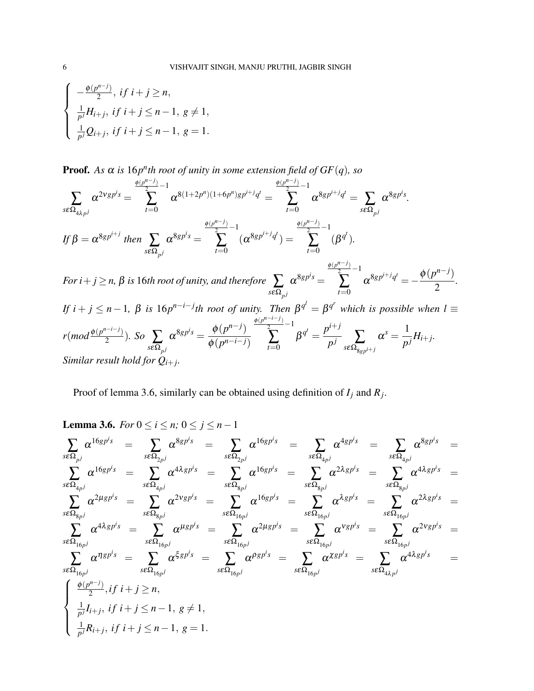$$
\begin{cases}\n-\frac{\phi(p^{n-j})}{2}, & \text{if } i+j \ge n, \\
\frac{1}{p^j}H_{i+j}, & \text{if } i+j \le n-1, \ g \neq 1, \\
\frac{1}{p^j}Q_{i+j}, & \text{if } i+j \le n-1, \ g = 1.\n\end{cases}
$$

**Proof.** As  $\alpha$  is  $16p^n$ th root of unity in some extension field of  $GF(q)$ , so

$$
\sum_{s\in\Omega_{4\lambda p^{j}}} \alpha^{2vgp^{i_{S}}} = \sum_{t=0}^{\frac{\phi(p^{n-j})}{2}-1} \alpha^{8(1+2p^{n})(1+6p^{n})gp^{i+j}q^{t}} = \sum_{t=0}^{\frac{\phi(p^{n-j})}{2}-1} \alpha^{8gp^{i+j}q^{t}} = \sum_{s\in\Omega_{p^{j}}} \alpha^{8gp^{i_{S}}}.
$$
\nIf  $\beta = \alpha^{8gp^{i+j}}$  then  $\sum_{s\in\Omega_{p^{j}}}\alpha^{8gp^{i_{S}}} = \sum_{t=0}^{\frac{\phi(p^{n-j})}{2}-1} (\alpha^{8gp^{i+j}q^{t}}) = \sum_{t=0}^{\frac{\phi(p^{n-j})}{2}-1} (\beta^{q^{t}}).$   
\nFor  $i+j\geq n$ ,  $\beta$  is 16th root of unity, and therefore  $\sum_{s\in\Omega_{p^{j}}}\alpha^{8gp^{i_{S}}} = \sum_{t=0}^{\frac{\phi(p^{n-j})}{2}-1} \alpha^{8gp^{i+j}q^{t}} = -\frac{\phi(p^{n-j})}{2}.$   
\nIf  $i+j\leq n-1$ ,  $\beta$  is 16p<sup>n-i-j</sup>th root of unity. Then  $\beta^{q^{j}} = \beta^{q^{r}}$  which is possible when  $l \equiv$   
\n $r(mod \frac{\phi(p^{n-i-j})}{2})$ . So  $\sum_{s\in\Omega_{p^{j}}}\alpha^{8gp^{i_{S}}} = \frac{\phi(p^{n-j})}{\phi(p^{n-i-j})} \sum_{t=0}^{\frac{\phi(p^{n-i-j})}{2}-1} \beta^{q^{t}} = \frac{p^{i+j}}{p^{j}} \sum_{s\in\Omega_{8gp^{i+j}}}\alpha^{s} = \frac{1}{p^{j}}H_{i+j}.$   
\nSimilar result hold for  $Q_{i+j}$ .

Proof of lemma 3.6, similarly can be obtained using definition of *I<sup>j</sup>* and *R<sup>j</sup>* .

**Lemma 3.6.** For 
$$
0 \le i \le n
$$
;  $0 \le j \le n-1$   
\n
$$
\sum_{s \in \Omega_{pj}} \alpha^{16gp^{i_s}} = \sum_{s \in \Omega_{2pj}} \alpha^{8gp^{i_s}} = \sum_{s \in \Omega_{2pj}} \alpha^{16gp^{i_s}} = \sum_{s \in \Omega_{4pj}} \alpha^{4gp^{i_s}} = \sum_{s \in \Omega_{4pj}} \alpha^{4g p^{i_s}} = \sum_{s \in \Omega_{4pj}} \alpha^{4g p^{i_s}} = \sum_{s \in \Omega_{4pj}} \alpha^{4g p^{i_s}} = \sum_{s \in \Omega_{4pj}} \alpha^{4g p^{i_s}} = \sum_{s \in \Omega_{4pj}} \alpha^{4g p^{i_s}} = \sum_{s \in \Omega_{4pj}} \alpha^{2g p^{i_s}} = \sum_{s \in \Omega_{4pj}} \alpha^{2g p^{i_s}} = \sum_{s \in \Omega_{4pj}} \alpha^{2g p^{i_s}} = \sum_{s \in \Omega_{4pj}} \alpha^{2g p^{i_s}} = \sum_{s \in \Omega_{4pj}} \alpha^{2g p^{i_s}} = \sum_{s \in \Omega_{4pj}} \alpha^{2g p^{i_s}} = \sum_{s \in \Omega_{16pj}} \alpha^{4g p^{i_s}} = \sum_{s \in \Omega_{16pj}} \alpha^{4g p^{i_s}} = \sum_{s \in \Omega_{16pj}} \alpha^{2g p^{i_s}} = \sum_{s \in \Omega_{16pj}} \alpha^{2g p^{i_s}} = \sum_{s \in \Omega_{16pj}} \alpha^{2g p^{i_s}} = \sum_{s \in \Omega_{16pj}} \alpha^{2g p^{i_s}} = \sum_{s \in \Omega_{16pj}} \alpha^{2g p^{i_s}} = \sum_{s \in \Omega_{4\lambda pj}} \alpha^{4g p^{i_s}} = \sum_{s \in \Omega_{16pj}} \alpha^{4g p^{i_s}} = \sum_{s \in \Omega_{16pj}} \alpha^{4g p^{i_s}} = \sum_{s \in \Omega_{16pj}} \alpha^{4g p^{i_s}} = \sum_{s \in \Omega_{16pj}} \alpha^{4g p^{i_s}} = \sum_{s \in \Omega_{16pj}} \alpha^{4g p^{i_s}} = \sum_{s \in \Omega_{16pj}} \alpha^{4g p^{i_s}} = \sum_{s \in \Omega_{1
$$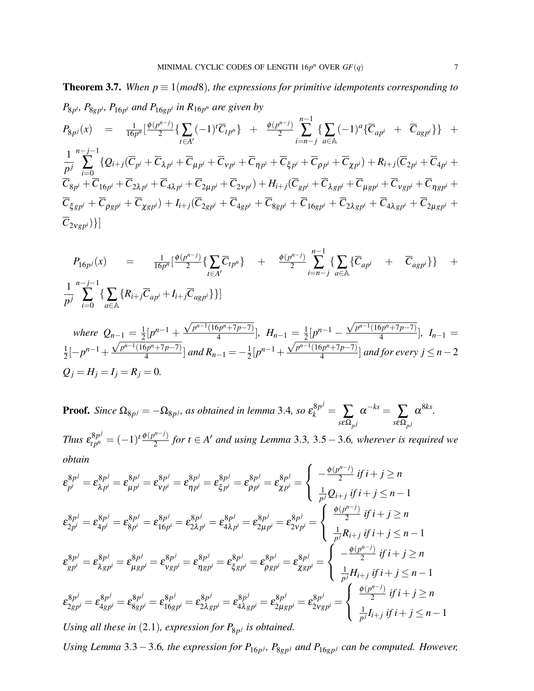**Theorem 3.7.** When  $p \equiv 1 \pmod{8}$ , the expressions for primitive idempotents corresponding to  $P_{8p^i}$ *, P*<sub>8gp</sub><sup>*i*</sup>,  $P_{16p^i}$  and  $P_{16gp^i}$  in  $R_{16p^n}$  are given by

$$
P_{8p^j}(x) = \frac{1}{16p^n} \left[ \frac{\phi(p^{n-j})}{2} \{ \sum_{t \in A'} (-1)^t \overline{C}_{tp^n} \} + \frac{\phi(p^{n-j})}{2} \sum_{i=n-j}^{n-1} \{ \sum_{a \in A} (-1)^a \{ \overline{C}_{ap^i} + \overline{C}_{agp^i} \} \} + \cdots \right]
$$

1 *p j* ∑ *i*=0  $\{\mathcal{Q}_{i+j}(\overline{C}_{p^i}+\overline{C}_{\lambda p^i}+\overline{C}_{\mu p^i}+\overline{C}_{\nu p^i}+\overline{C}_{\eta p^i}+\overline{C}_{\xi p^i}+\overline{C}_{\rho p^i}+\overline{C}_{\chi p^i})+R_{i+j}(\overline{C}_{2p^i}+\overline{C}_{4p^i}+\overline{C}_{\eta p^i})\}$  $C_{8p^i}+C_{16p^i}+C_{2\lambda p^i}+C_{4\lambda p^i}+C_{2\mu p^i}+C_{2\nu p^i})+H_{i+j}(C_{gp^i}+C_{\lambda gp^i}+C_{\mu gp^i}+C_{\nu gp^i}+C_{\eta gp^i}+C_{\eta gp^i})$  $\overline{C}_{\xi gp^i} + \overline{C}_{\rho gp^i} + \overline{C}_{\chi gp^i}) + I_{i+j}(\overline{C}_{2gp^i} + \overline{C}_{4gp^i} + \overline{C}_{8gp^i} + \overline{C}_{16gp^i} + \overline{C}_{2\lambda gp^i} + \overline{C}_{4\lambda gp^i} + \overline{C}_{2\mu gp^i} +$  $\overline{C}_{2Vgp^i}$ }]

$$
P_{16p^j}(x) = \frac{1}{16p^n} \left[ \frac{\phi(p^{n-j})}{2} \{ \sum_{t \in A'} \overline{C}_{tp^n} \} + \frac{\phi(p^{n-j})}{2} \sum_{i=n-j}^{n-1} \{ \sum_{a \in A} \{ \overline{C}_{ap^i} + \overline{C}_{agp^i} \} \} + \frac{1}{p^j} \sum_{i=0}^{n-j-1} \{ \sum_{a \in A} \{ R_{i+j} \overline{C}_{ap^i} + I_{i+j} \overline{C}_{agp^i} \} \} \right]
$$

where 
$$
Q_{n-1} = \frac{1}{2} [p^{n-1} + \frac{\sqrt{p^{n-1}(16p^n + 7p - 7)}}{4}]
$$
,  $H_{n-1} = \frac{1}{2} [p^{n-1} - \frac{\sqrt{p^{n-1}(16p^n + 7p - 7)}}{4}]$ ,  $I_{n-1} = \frac{1}{2} [-p^{n-1} + \frac{\sqrt{p^{n-1}(16p^n + 7p - 7)}}{4}]$  and  $R_{n-1} = -\frac{1}{2} [p^{n-1} + \frac{\sqrt{p^{n-1}(16p^n + 7p - 7)}}{4}]$  and for every  $j \le n - 2$   
 $Q_j = H_j = I_j = R_j = 0$ .

**Proof.** Since  $\Omega_{8p^j} = -\Omega_{8p^j}$ , as obtained in lemma 3.4, so  $\epsilon_k^{8p^j} = \sum_{s \in \Omega_{p^j}}$  $\alpha^{-ks} = \sum_{s\epsilon\Omega_{p^j}}$  $\alpha^{8ks}$ . *Thus*  $\varepsilon_{tp^n}^{8p^j} = (-1)^t \frac{\phi(p^{n-j})}{2}$  $\frac{2}{2}$  *for t* ∈ *A'* and using Lemma 3.3, 3.5 – 3.6, wherever is required we *obtain*

$$
\varepsilon_{p}^{8p^{j}} = \varepsilon_{\lambda p^{i}}^{8p^{j}} = \varepsilon_{\mu p^{i}}^{8p^{j}} = \varepsilon_{\nu p^{i}}^{8p^{j}} = \varepsilon_{\eta p^{i}}^{8p^{j}} = \varepsilon_{\beta p^{i}}^{8p^{j}} = \varepsilon_{\beta p^{i}}^{8p^{j}} = \varepsilon_{\lambda p^{i}}^{8p^{j}} = \varepsilon_{\lambda p^{i}}^{8p^{j}} = \varepsilon_{\lambda p^{i}}^{8p^{j}} = \varepsilon_{\lambda p^{i}}^{8p^{j}} = \varepsilon_{\lambda p^{i}}^{8p^{j}} = \varepsilon_{\lambda p^{i}}^{8p^{j}} = \varepsilon_{\lambda p^{i}}^{8p^{j}} = \varepsilon_{\lambda p^{i}}^{8p^{j}} = \varepsilon_{\lambda p^{i}}^{8p^{j}} = \varepsilon_{\lambda p^{i}}^{8p^{j}} = \varepsilon_{\lambda p^{i}}^{8p^{j}} = \varepsilon_{\lambda p^{i}}^{8p^{j}} = \varepsilon_{\lambda p^{i}}^{8p^{j}} = \varepsilon_{\lambda p^{i}}^{8p^{j}} = \varepsilon_{\lambda p^{i}}^{8p^{j}} = \varepsilon_{\lambda p^{i}}^{8p^{j}} = \varepsilon_{\lambda p^{i}}^{8p^{j}} = \varepsilon_{\lambda p^{i}}^{8p^{j}} = \varepsilon_{\lambda p^{i}}^{8p^{j}} = \varepsilon_{\lambda p^{i}}^{8p^{j}} = \varepsilon_{\lambda p^{i}}^{8p^{j}} = \varepsilon_{\lambda p^{i}}^{8p^{j}} = \varepsilon_{\lambda p^{i}}^{8p^{j}} = \varepsilon_{\lambda p^{i}}^{8p^{j}} = \varepsilon_{\lambda p^{i}}^{8p^{j}} = \varepsilon_{\lambda p^{i}}^{8p^{j}} = \varepsilon_{\lambda p^{i}}^{8p^{j}} = \varepsilon_{\lambda p^{i}}^{8p^{j}} = \varepsilon_{\lambda p^{i}}^{8p^{j}} = \varepsilon_{\lambda p^{i}}^{8p^{j}} = \varepsilon_{\lambda p^{i}}^{8p^{j}} = \varepsilon_{\lambda p^{i}}^{8p^{j}} = \varepsilon_{\lambda p^{i}}^{8p^{j}} = \varepsilon_{\lambda p^{i}}^{8p^{j}} = \varepsilon_{\lambda p^{i}}^{8p^{j}} = \varepsilon_{\lambda p
$$

Using all these in  $(2.1)$ , expression for  $P_{8p^j}$  is obtained.

*Using Lemma* 3.3 – 3.6, the expression for  $P_{16p}$ *j*,  $P_{8gp}$ *j* and  $P_{16gp}$ *j can be computed. However,*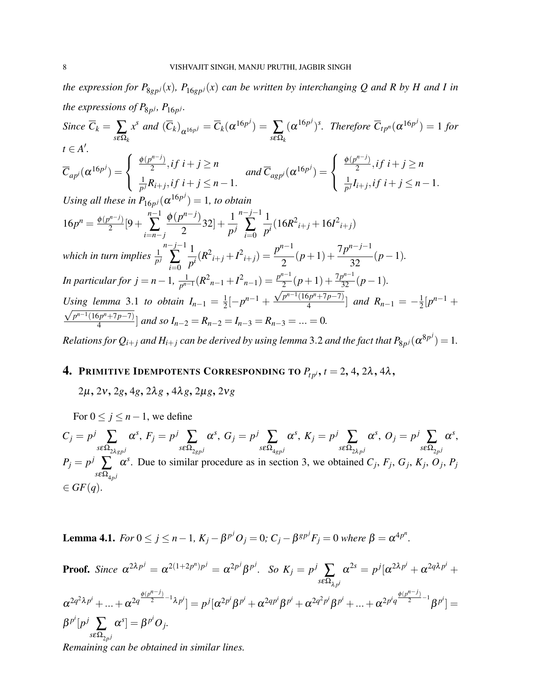*the expression for*  $P_{8gp}$ *j*(*x*)*,*  $P_{16gp}$ *j*(*x*) *can be written by interchanging Q and R by H and I in the expressions of*  $P_{8p}$ *j*,  $P_{16p}$ *j*.  $Since \ C_k = \sum_{s \in \Omega_k}$  $x^s$  and  $(\overline{C}_k)_{\alpha^{16p^j}} = \overline{C}_k(\alpha^{16p^j}) = \sum_{s \in \Omega_k}$  $(\alpha^{16p^j})^s$ . Therefore  $\overline{C}_{tp^n}(\alpha^{16p^j}) = 1$  for  $t \in A'$ .  $\overline{C}_{ap^i}(\alpha^{16p^j}) =$  $\sqrt{ }$  $\int$  $\mathcal{L}$  $\phi(p^{n-j})$  $\frac{a^{n-j}}{2}$ , if  $i+j \geq n$ 1  $\frac{1}{p^j} R_{i+j}$ , *i*  $f$  *i* + *j* ≤ *n* − 1. and  $\overline{C}_{a g p^i}(\alpha^{16 p^j}) =$  $\sqrt{ }$  $\int$  $\mathcal{L}$  $\phi(p^{n-j})$  $\frac{a^{n-j}}{2}$ , if  $i+j \geq n$ 1  $\frac{1}{p^j} I_{i+j}$ , *if*  $i + j \leq n - 1$ . *Using all these in*  $P_{16p^j}(\alpha^{16p^j}) = 1$ *, to obtain*  $16p^n = \frac{\phi(p^{n-j})}{2}$  $\frac{1}{2}$ [9 + *n*−1 ∑ *i*=*n*−*j*  $\phi(p^{n-j})$ 2  $32] + \frac{1}{p^j}$ *n*−*j*−1 ∑ *i*=0 1  $\frac{1}{p^i}(16R^2_{i+j} + 16I^2_{i+j})$ which in turn implies  $\frac{1}{p^j}$ *n*−*j*−1 ∑ *i*=0 1  $\frac{1}{p^i}(R^2_{i+j} + I^2_{i+j}) = \frac{p^{n-1}}{2}$ 2  $(p+1) + \frac{7p^{n-j-1}}{22}$ 32 (*p*−1)*. In particular for*  $j = n - 1$ ,  $\frac{1}{n^{n-1}}$  $\frac{1}{p^{n-1}}(R_{n-1}^2 + I_{n-1}^2) = \frac{p^{n-1}}{2}$  $\frac{p^{n-1}}{2}(p+1) + \frac{7p^{n-1}}{32}(p-1).$ *Using lemma* 3.1 *to obtain*  $I_{n-1} = \frac{1}{2}$  $\frac{1}{2}[-p^{n-1} + \frac{\sqrt{p^{n-1}(16p^n+7p-7)}}{4}]$  $\left[\frac{2p^{n+1}p-7}{4}\right]$  and  $R_{n-1}=-\frac{1}{2}$ Using lemma 3.1 to obtain  $I_{n-1} = \frac{1}{2}[-p^{n-1} + \frac{\sqrt{p^{n-1}(16p^n + p-7)}}{4}]$  and  $R_{n-1} = -\frac{1}{2}[p^{n-1} + \frac{p^{n-1}}{2}]$ *p <sup>n</sup>*−1(16*p <sup>n</sup>*+7*p*−7)  $\left[\frac{p^{n+1}p^{-1}}{4}\right]$  and so  $I_{n-2} = R_{n-2} = I_{n-3} = R_{n-3} = ... = 0$ .

*Relations for*  $Q_{i+j}$  *and*  $H_{i+j}$  *can be derived by using lemma 3.2 and the fact that*  $P_{8p^j}(\pmb{\alpha}^{8p^j})=1.$ 

## **4. PRIMITIVE IDEMPOTENTS CORRESPONDING TO**  $P_{tpi}$ **,**  $t = 2, 4, 2\lambda, 4\lambda$ **,**

2µ, 2ν, 2*g*, 4*g*, 2λ*g* , 4λ*g*, 2µ*g*, 2ν*g*

For  $0 \leq j \leq n-1$ , we define

 $C_j = p^j$   $\sum_{i=1}^j$  $s$ εΩ $_{2\lambda gp}$  *j*  $\alpha^s$ ,  $F_j = p^j$   $\sum_{\alpha}$  $s\epsilon\Omega_{2gp}$  *j*  $\alpha^s, G_j = p^j \sum_{i=1}^j$  $s\epsilon\Omega_{4gp}$  *j*  $\alpha^s$ ,  $K_j = p^j$   $\sum_{i=1}^j$  $s$ εΩ $_{2λp}$ j  $\alpha^s$ ,  $O_j = p^j \sum_{\alpha}$  $s$ εΩ<sub>2ρ</sub> j  $\alpha^s$ ,  $P_j = p^j \sum_{\Omega}$  $s$ εΩ<sub>4ρ</sub> j  $\alpha^s$ . Due to similar procedure as in section 3, we obtained  $C_j$ ,  $F_j$ ,  $G_j$ ,  $K_j$ ,  $O_j$ ,  $P_j$  $\in$   $GF(q)$ .

**Lemma 4.1.** *For* 0 ≤ *j* ≤ *n* − 1,  $K_j - β^{p^j}O_j = 0$ ;  $C_j - β^{gp^j}F_j = 0$  *where*  $β = α^{4p^n}$ .

**Proof.** Since  $\alpha^{2\lambda p^j} = \alpha^{2(1+2p^n)p^j} = \alpha^{2p^j}\beta^{p^j}$ . So  $K_j = p^j$   $\sum_{\alpha}$ *s*εΩ<sup>λ</sup> *<sup>p</sup> i*  $\alpha^{2s} = p^j [\alpha^{2\lambda p^i} + \alpha^{2q\lambda p^i} +$  $\alpha^{2q^2\lambda p^i} + ... + \alpha^{2q^{\frac{\phi(p^{n-j})}{2}-1}\lambda p^i} ] = p^j[\alpha^{2p^i}\beta^{p^i} + \alpha^{2qp^i}\beta^{p^i} + \alpha^{2q^2p^i}\beta^{p^i} + ... + \alpha^{2p^iq^{\frac{\phi(p^{n-j})}{2}-1}}\beta^{p^i} ] =$  $\beta^{p^i} [p^j] \sum_{\alpha}$  $s$ εΩ<sub>2ρ</sub> j  $[\alpha^s] = \beta^{p^i} O_j.$ 

*Remaining can be obtained in similar lines.*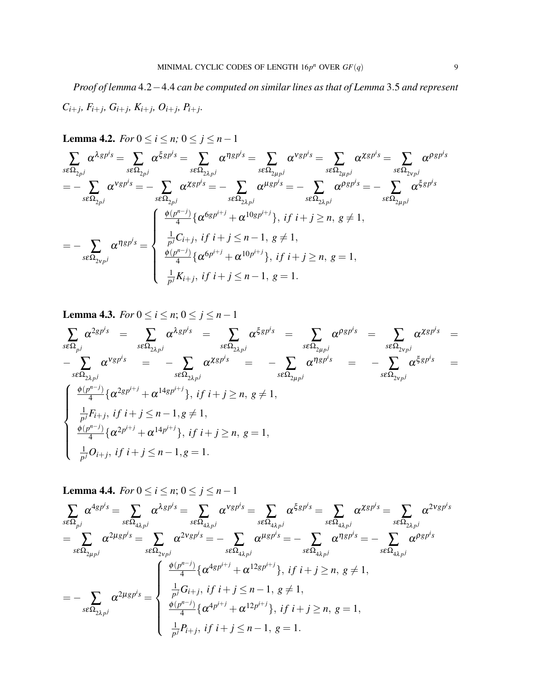*Proof of lemma* 4.2−4.4 *can be computed on similar lines as that of Lemma* 3.5 *and represent*  $C_{i+j}, F_{i+j}, G_{i+j}, K_{i+j}, O_{i+j}, P_{i+j}.$ 

**Lemma 4.2.** *For*  $0 \le i \le n$ ;  $0 \le j \le n-1$ 

$$
\sum_{s\in\Omega_{2p}j}\alpha^{\lambda g p^i s} = \sum_{s\in\Omega_{2p}j}\alpha^{\xi g p^i s} = \sum_{s\in\Omega_{2\lambda p}j}\alpha^{\eta g p^i s} = \sum_{s\in\Omega_{2\mu p}j}\alpha^{\nu g p^i s} = \sum_{s\in\Omega_{2\mu p}j}\alpha^{\chi g p^i s} = \sum_{s\in\Omega_{2p}j}\alpha^{\varphi g p^i s}
$$
\n
$$
= -\sum_{s\in\Omega_{2p}j}\alpha^{\nu g p^i s} = -\sum_{s\in\Omega_{2p}j}\alpha^{\chi g p^i s} = -\sum_{s\in\Omega_{2\lambda p}j}\alpha^{\mu g p^i s} = -\sum_{s\in\Omega_{2\lambda p}j}\alpha^{\rho g p^i s} = -\sum_{s\in\Omega_{2\mu p}j}\alpha^{\xi g p^i s}
$$
\n
$$
= -\sum_{s\in\Omega_{2\nu p}j}\alpha^{\eta g p^i s} = \begin{cases} \frac{\phi(p^{n-j})}{4} \{\alpha^{\zeta g p^{i+j}} + \alpha^{10 g p^{i+j}}\}, & \text{if } i+j \ge n, \ g \neq 1, \\ \frac{1}{p^j} C_{i+j}, & \text{if } i+j \le n-1, \ g \neq 1, \\ \frac{\phi(p^{n-j})}{4} \{\alpha^{\zeta p^{i+j}} + \alpha^{10 p^{i+j}}\}, & \text{if } i+j \ge n, \ g = 1, \\ \frac{1}{p^j} K_{i+j}, & \text{if } i+j \le n-1, \ g = 1. \end{cases}
$$

**Lemma 4.3.** *For*  $0 \le i \le n$ ;  $0 \le j \le n-1$ 

$$
\sum_{s\in\Omega_{pj}}\alpha^{2gp^{i}s} = \sum_{s\in\Omega_{2\lambda p^{j}}}\alpha^{\lambda gp^{i}s} = \sum_{s\in\Omega_{2\lambda p^{j}}}\alpha^{\xi gp^{i}s} = \sum_{s\in\Omega_{2\mu p^{j}}}\alpha^{PSp^{i}s} = \sum_{s\in\Omega_{2\nu p^{j}}}\alpha^{Xgp^{i}s} = -\sum_{s\in\Omega_{2\lambda p^{j}}}\alpha^{Xgp^{i}s} = -\sum_{s\in\Omega_{2\mu p^{j}}}\alpha^{n\chi_{sp^{i}s}} = -\sum_{s\in\Omega_{2\nu p^{j}}}\alpha^{n\chi_{sp^{i}s}} = -\sum_{s\in\Omega_{2\nu p^{j}}}\alpha^{\xi_{sp^{i}s}} = \frac{\sum_{s\in\Omega_{2\nu p^{j}}}\alpha^{Xgp^{i}}}{\frac{\phi(p^{n-j})}{4}\{\alpha^{2gp^{i+j}} + \alpha^{14p^{i+j}}\}, \text{ if } i+j \geq n, g \neq 1, \quad \frac{\phi(p^{n-j})}{4}\{\alpha^{2p^{i+j}} + \alpha^{14p^{i+j}}\}, \text{ if } i+j \geq n, g = 1, \quad \frac{1}{p^{j}}O_{i+j}, \text{ if } i+j \leq n-1, g = 1.
$$

**Lemma 4.4.** *For*  $0 \le i \le n$ ;  $0 \le j \le n-1$ 

$$
\sum_{s\in\Omega_{pj}} \alpha^{4gp^i s} = \sum_{s\in\Omega_{4\lambda p^j}} \alpha^{\lambda gp^i s} = \sum_{s\in\Omega_{4\lambda p^j}} \alpha^{Vgp^i s} = \sum_{s\in\Omega_{4\lambda p^j}} \alpha^{\xi gp^i s} = \sum_{s\in\Omega_{4\lambda p^j}} \alpha^{Zgp^i s} = \sum_{s\in\Omega_{2\lambda p^j}} \alpha^{2\nu gp^i s} = \sum_{s\in\Omega_{2\lambda p^j}} \alpha^{2\nu gp^i s} = - \sum_{s\in\Omega_{4\lambda p^j}} \alpha^{\mu gp^i s} = - \sum_{s\in\Omega_{4\lambda p^j}} \alpha^{\eta gp^i s} = - \sum_{s\in\Omega_{4\lambda p^j}} \alpha^{\eta gp^i s} = - \sum_{s\in\Omega_{4\lambda p^j}} \alpha^{\rho gp^i s}
$$

$$
= - \sum_{s\in\Omega_{2\lambda p^j}} \alpha^{2\mu gp^i s} = \begin{cases} \frac{\phi(p^{n-j})}{4} \{ \alpha^{4gp^{i+j}} + \alpha^{12gp^{i+j}} \}, & \text{if } i+j \ge n, \ g \neq 1, \\ \frac{\frac{1}{p^j} G_{i+j}}{4} \{ \alpha^{4p^{i+j}} + \alpha^{12p^{i+j}} \}, & \text{if } i+j \ge n, \ g = 1, \\ \frac{\frac{1}{p^j} P_{i+j}}{p^j} \{ i+j \le n-1, \ g = 1. \end{cases}
$$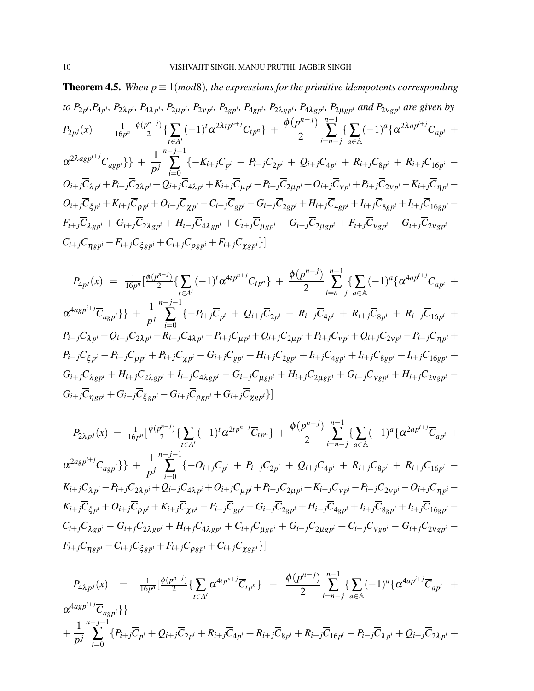**Theorem 4.5.** *When*  $p \equiv 1 \pmod{8}$ *, the expressions for the primitive idempotents corresponding* to  $P_{2p^i}P_{4p^i}$ ,  $P_{2\lambda p^i}$ ,  $P_{4\lambda p^i}$ ,  $P_{2\mu p^i}$ ,  $P_{2\nu p^i}$ ,  $P_{2g p^i}$ ,  $P_{4g p^i}$ ,  $P_{2\lambda g p^i}$ ,  $P_{4\lambda g p^i}$ ,  $P_{2\mu g p^i}$  and  $P_{2\nu g p^i}$  are given by  $P_{2p^j}(x) = \frac{1}{16p^n} \left[ \frac{\phi(p^{n-j})}{2} \right]$  $\sum_{t \in A'}^{r \in J} \left\{ \sum_{t \in A'} \right\}$  $(-1)^t \alpha^{2\lambda t} p^{n+j} \overline{C}_{tp^n} + \frac{\phi(p^{n-j})}{2}$ 2 *n*−1 ∑ *i*=*n*−*j* {∑ *a*∈A  $(-1)^a \{ \alpha^{2\lambda ap^{i+j}} \overline{C}_{ap^i} +$  $\{\alpha^{2\lambda a g p^{i+j}} \overline{C}_{a g p^i}\} + \frac{1}{n}$ *p j n*−*j*−1  $\sum_{i=1}$   $\{ -K_{i+j}\overline{C}_{p^{i}} - P_{i+j}\overline{C}_{2p^{i}} + Q_{i+j}\overline{C}_{4p^{i}} + R_{i+j}\overline{C}_{8p^{i}} + R_{i+j}\overline{C}_{16p^{i}} - \}$ *i*=0  $O_{i+j} \overline C_{\lambda p^i} + P_{i+j} \overline C_{2\lambda p^i} + Q_{i+j} \overline C_{4\lambda p^i} + K_{i+j} \overline C_{\mu p^i} - P_{i+j} \overline C_{2\mu p^i} + O_{i+j} \overline C_{\nu p^i} + P_{i+j} \overline C_{2\nu p^i} - K_{i+j} \overline C_{\eta p^i} O_{i+j}\overline{C}_{\xi p^i}+K_{i+j}\overline{C}_{\rho p^i}+O_{i+j}\overline{C}_{\chi p^i}-C_{i+j}\overline{C}_{g p^i}-G_{i+j}\overline{C}_{2g p^i}+H_{i+j}\overline{C}_{4g p^i}+I_{i+j}\overline{C}_{8g p^i}+I_{i+j}\overline{C}_{16g p^i} F_{i+j}\overline{C}_{\lambda g p^i}+G_{i+j}\overline{C}_{2\lambda g p^i}+H_{i+j}\overline{C}_{4\lambda g p^i}+C_{i+j}\overline{C}_{\mu g p^i}-G_{i+j}\overline{C}_{2\mu g p^i}+F_{i+j}\overline{C}_{V g p^i}+G_{i+j}\overline{C}_{2V g p^i} C_{i+j}C_{ngh} - F_{i+j}C_{\xi gh} + C_{i+j}C_{\rho gh} + F_{i+j}C_{\gamma gh}$ 

$$
P_{4p^j}(x) = \frac{1}{16p^n} \left[ \frac{\phi(p^{n-j})}{2} \{ \sum_{t \in A'} (-1)^t \alpha^{4tp^{n+j}} \overline{C}_{tp^n} \} + \frac{\phi(p^{n-j})}{2} \sum_{i=n-j}^{n-1} \{ \sum_{a \in A} (-1)^a \{ \alpha^{4ap^{i+j}} \overline{C}_{ap^i} + \alpha^{4ap^{i+j}} \overline{C}_{ap^i} \} \} + \frac{1}{p^j} \sum_{i=0}^{n-j-1} \{ -P_{i+j} \overline{C}_{p^i} + Q_{i+j} \overline{C}_{2p^i} + R_{i+j} \overline{C}_{4p^i} + R_{i+j} \overline{C}_{8p^i} + R_{i+j} \overline{C}_{16p^i} + \beta^{4ap^{i+j}} \overline{C}_{2p^i} \} + \cdots + \beta^{4ap^{i+j}} \overline{C}_{2p^i} \{ -P_{i+j} \overline{C}_{4p^i} + R_{i+j} \overline{C}_{4p^i} \} + \cdots + \beta^{4ap^{i+j}} \overline{C}_{4p^i} \} + \cdots + \beta^{4ap^{i+j}} \overline{C}_{4p^i} \{ -P_{i+j} \overline{C}_{4p^i} + R_{i+j} \overline{C}_{4p^i} \} + \cdots + \beta^{4ap^{i+j}} \overline{C}_{4p^i} \} + \cdots + \beta^{4ap^{i+j}} \overline{C}_{4p^i} \{ -P_{i+j} \overline{C}_{4p^i} + R_{i+j} \overline{C}_{4p^i} \} + \cdots + \beta^{4ap^{i+j}} \overline{C}_{4p^i} \} + \cdots + \beta^{4ap^{i+j}} \overline{C}_{4p^i} \{ -P_{i+j} \overline{C}_{4p^i} + R_{i+j} \overline{C}_{4p^i} \} + \cdots + \beta^{4ap^{i+j}} \overline{C}_{4p^i} \} + \cdots + \beta^{4ap^{i+j}} \overline{C}_{4p^i} \{ -Q_{i+j} \overline{C}_{4p^i} + R_{i+j} \overline{C}_{4p^i} \} + \cdots + \beta^{4ap^{i+j}} \overline{C}_{4p^i} \} + \cdots + \beta^{4ap^{i+j}} \overline{C}_{4p^
$$

$$
P_{2\lambda p^{j}}(x) = \frac{1}{16p^{n}} \left[ \frac{\phi(p^{n-j})}{2} \{ \sum_{t \in A'} (-1)^{t} \alpha^{2tp^{n+j}} \overline{C}_{tp^{n}} \} + \frac{\phi(p^{n-j})}{2} \sum_{i=n-j}^{n-1} \{ \sum_{a \in A} (-1)^{a} \{ \alpha^{2ap^{i+j}} \overline{C}_{ap^{i}} + \alpha^{2ap^{i+j}} \overline{C}_{ap^{i}} \} \} + \frac{1}{p^{j}} \sum_{i=0}^{n-j-1} \{ -O_{i+j} \overline{C}_{p^{i}} + P_{i+j} \overline{C}_{2p^{i}} + Q_{i+j} \overline{C}_{4p^{i}} + R_{i+j} \overline{C}_{8p^{i}} + R_{i+j} \overline{C}_{16p^{i}} - K_{i+j} \overline{C}_{\lambda p^{i}} - P_{i+j} \overline{C}_{2\lambda p^{i}} + Q_{i+j} \overline{C}_{4\lambda p^{i}} + O_{i+j} \overline{C}_{\mu p^{i}} + P_{i+j} \overline{C}_{2\mu p^{i}} + K_{i+j} \overline{C}_{\nu p^{i}} - P_{i+j} \overline{C}_{2\nu p^{i}} - O_{i+j} \overline{C}_{\eta p^{i}} - K_{i+j} \overline{C}_{\xi p^{i}} + O_{i+j} \overline{C}_{\chi p^{i}} + K_{i+j} \overline{C}_{\chi p^{i}} - F_{i+j} \overline{C}_{g p^{i}} + G_{i+j} \overline{C}_{2g p^{i}} + H_{i+j} \overline{C}_{4g p^{i}} + I_{i+j} \overline{C}_{8g p^{i}} - G_{i+j} \overline{C}_{\lambda g p^{i}} - G_{i+j} \overline{C}_{2\lambda g p^{i}} + H_{i+j} \overline{C}_{4\lambda g p^{i}} + C_{i+j} \overline{C}_{\mu g p^{i}} + G_{i+j} \overline{C}_{2\mu g p^{i}} + C_{i+j} \overline{C}_{\nu g p^{i}} - G_{i+j} \overline{C}_{2\nu g p^{i}} - F_{i+j} \overline{C}_{\eta g p^{i}} - C_{i+j} \overline{C}_{\xi g p^{i}} + F_{i+j} \overline{C}_{\rho g p^{i}} + C_{i+j} \overline{C}_{\chi g p^{i}} \
$$

$$
P_{4\lambda p^{j}}(x) = \frac{1}{16p^{n}} \left[ \frac{\phi(p^{n-j})}{2} \{ \sum_{t \in A'} \alpha^{4tp^{n+j}} \overline{C}_{tp^{n}} \} + \frac{\phi(p^{n-j})}{2} \sum_{i=n-j}^{n-1} \{ \sum_{a \in A} (-1)^{a} \{ \alpha^{4ap^{i+j}} \overline{C}_{ap^{i}} + \alpha^{4asp^{i+j}} \overline{C}_{ap^{i}} \} \} + \frac{1}{p^{j}} \sum_{i=0}^{n-j-1} \{ P_{i+j} \overline{C}_{p^{i}} + Q_{i+j} \overline{C}_{2p^{i}} + R_{i+j} \overline{C}_{4p^{i}} + R_{i+j} \overline{C}_{8p^{i}} + R_{i+j} \overline{C}_{16p^{i}} - P_{i+j} \overline{C}_{\lambda p^{i}} + Q_{i+j} \overline{C}_{2\lambda p^{i}} + \alpha^{4ap^{i+j}} \overline{C}_{16p^{i}} \} \right]
$$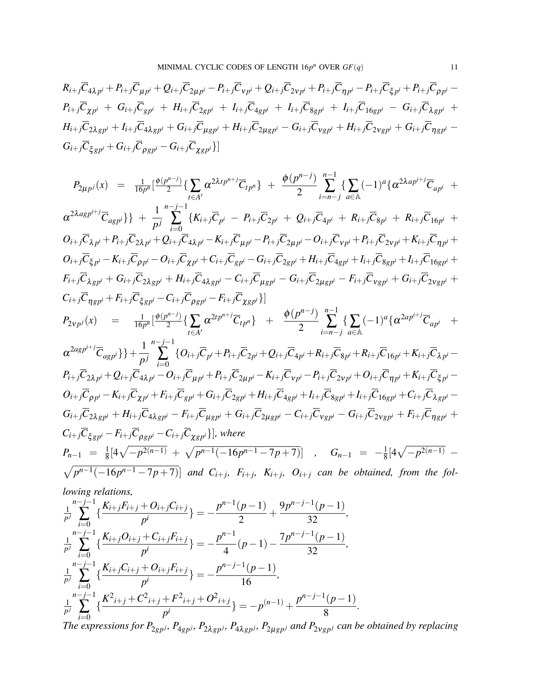$$
R_{i+j}\overline{C}_{4\lambda p^{i}} + P_{i+j}\overline{C}_{\mu p^{i}} + Q_{i+j}\overline{C}_{2\mu p^{i}} - P_{i+j}\overline{C}_{\nu p^{i}} + Q_{i+j}\overline{C}_{2\nu p^{i}} + P_{i+j}\overline{C}_{\eta p^{i}} - P_{i+j}\overline{C}_{\xi p^{i}} + P_{i+j}\overline{C}_{\rho p^{i}} - P_{i+j}\overline{C}_{\chi p^{i}} + G_{i+j}\overline{C}_{g p^{i}} + H_{i+j}\overline{C}_{2g p^{i}} + I_{i+j}\overline{C}_{4g p^{i}} + I_{i+j}\overline{C}_{8g p^{i}} + I_{i+j}\overline{C}_{16g p^{i}} - G_{i+j}\overline{C}_{\lambda g p^{i}} + H_{i+j}\overline{C}_{2\lambda g p^{i}} + I_{i+j}\overline{C}_{4\lambda g p^{i}} + G_{i+j}\overline{C}_{4\lambda g p^{i}} + G_{i+j}\overline{C}_{g g p^{i}} + H_{i+j}\overline{C}_{2\mu g p^{i}} - G_{i+j}\overline{C}_{\chi g p^{i}} + G_{i+j}\overline{C}_{g g p^{i}} - G_{i+j}\overline{C}_{\chi g p^{i}}\}
$$

$$
P_{2\mu p^j}(x) = \frac{1}{16p^n} \left[ \frac{\phi(p^{n-j})}{2} \{ \sum_{t \in A'} \alpha^{2\lambda t p^{n+j}} \overline{C}_{tp^n} \} + \frac{\phi(p^{n-j})}{2} \sum_{i=n-j}^{n-1} \{ \sum_{a \in A} (-1)^a \{ \alpha^{2\lambda a p^{i+j}} \overline{C}_{ap^i} + \alpha^{2\lambda a p^{i+j}} \overline{C}_{ap^i} \} \} + \frac{1}{p^j} \sum_{i=0}^{n-j-1} \{ K_{i+j} \overline{C}_{p^i} - P_{i+j} \overline{C}_{2p^i} + Q_{i+j} \overline{C}_{4p^i} + R_{i+j} \overline{C}_{8p^i} + R_{i+j} \overline{C}_{16p^i} + \frac{1}{p^j} \sum_{i=0}^{n-j-1} \{ K_{i+j} \overline{C}_{p^i} - P_{i+j} \overline{C}_{2p^i} + Q_{i+j} \overline{C}_{4p^i} + R_{i+j} \overline{C}_{8p^i} + R_{i+j} \overline{C}_{16p^i} + \frac{1}{p^j} \sum_{i=0}^{n-j-1} \{ K_{i+j} \overline{C}_{4\lambda p^i} - K_{i+j} \overline{C}_{\mu p^i} - P_{i+j} \overline{C}_{2\mu p^i} - Q_{i+j} \overline{C}_{2\mu p^i} + P_{i+j} \overline{C}_{2\nu p^i} + R_{i+j} \overline{C}_{16p^i} + \frac{1}{p^j} \sum_{i+j} \overline{C}_{2\lambda g p^i} - Q_{i+j} \overline{C}_{2\mu g p^i} - G_{i+j} \overline{C}_{2\mu g p^i} - G_{i+j} \overline{C}_{2\mu g p^i} - F_{i+j} \overline{C}_{16p^i} + G_{i+j} \overline{C}_{2\nu g p^i} + \frac{1}{p^j} \sum_{i=0}^{n-j-1} \sum_{i=0}^{n-j-1} \sum_{j=0}^{n-j-1} \sum_{a \in A} (-1)^a \{ \alpha^{2\lambda a p^{i+j}} \overline{C}_{ap^i} - \frac{1}{p^j} \{ \sum_{i=0}^{n-j-1} \{ K_{i+j}
$$

$$
C_{i+j}\overline{C}_{\eta g p^i} + F_{i+j}\overline{C}_{\xi g p^i} - C_{i+j}\overline{C}_{\rho g p^i} - F_{i+j}\overline{C}_{\chi g p^i}\}
$$
\n
$$
P_{2\nu p^j}(x) = \frac{1}{16p^n} \left[ \frac{\phi(p^{n-j})}{2} \{ \sum_{t \in A'} \alpha^{2tp^{n+j}} \overline{C}_{tp^n} \} + \frac{\phi(p^{n-j})}{2} \sum_{i=n-j}^{n-1} \{ \sum_{a \in A} (-1)^a \{ \alpha^{2ap^{i+j}} \overline{C}_{ap^i} + \sum_{t \in A'} \alpha^{2tp^{i+j}} \overline{C}_{tp^n} \} + \frac{\phi(p^{n-j})}{2} \sum_{i=n-j}^{n-1} \{ \sum_{a \in A'} (-1)^a \{ \alpha^{2ap^{i+j}} \overline{C}_{ap^i} + \sum_{t \in A'} \alpha^{2tp^{i+j}} \overline{C}_{tp^n} \} + \frac{\phi(p^{n-j})}{2} \sum_{i=n-j}^{n-1} \{ \sum_{a \in A'} (-1)^a \{ \alpha^{2ap^{i+j}} \overline{C}_{ap^i} + \sum_{t \in A'} \alpha^{2tp^{i+j}} \overline{C}_{tp^n} \} + \frac{\phi(p^{n-j})}{2} \sum_{i=n-j}^{n-1} \{ \sum_{a \in A'} (-1)^a \{ \alpha^{2ap^{i+j}} \overline{C}_{ap^i} + \sum_{t \in A'} \alpha^{2tp^{i+j}} \overline{C}_{tp^n} \} + \frac{\phi(p^{n-j})}{2} \sum_{i=n-j}^{n-1} \{ \sum_{a \in A'} (-1)^a \{ \alpha^{2ap^{i+j}} \overline{C}_{ap^i} + \sum_{t \in A'} \alpha^{2tp^{i+j}} \overline{C}_{tp^n} \} + \frac{\phi(p^{n-j})}{2} \sum_{i=n-j}^{n-1} \{ \sum_{a \in A'} (-1)^a \{ \alpha^{2ap^{i+j}} \overline{C}_{ap^i} + \sum_{t \in A'} \alpha^{2tp^{i+j}} \overline{C}_{tp^n} \} + \frac{\phi(p^{n-j})}{2} \sum_{i=n-j}^{n-1} \{ \sum_{a \in A'} (-1)^a \{ \alpha^{2ap^{i+j}} \overline{C}_{ap^i} + \sum_{t \in A'} \alpha^{2tp^{i+j
$$

$$
\alpha^{2agp^{i+j}}\overline{C}_{agp^{i}}\} + \frac{1}{p^{j}}\sum_{i=0}^{n-j-1} \{O_{i+j}\overline{C}_{p^{i}} + P_{i+j}\overline{C}_{2p^{i}} + Q_{i+j}\overline{C}_{4p^{i}} + R_{i+j}\overline{C}_{8p^{i}} + R_{i+j}\overline{C}_{16p^{i}} + K_{i+j}\overline{C}_{\lambda p^{i}} - P_{i+j}\overline{C}_{2\lambda p^{i}} + Q_{i+j}\overline{C}_{4\lambda p^{i}} - O_{i+j}\overline{C}_{\mu p^{i}} + P_{i+j}\overline{C}_{2\mu p^{i}} - K_{i+j}\overline{C}_{\nu p^{i}} - P_{i+j}\overline{C}_{2\nu p^{i}} + O_{i+j}\overline{C}_{\eta p^{i}} + K_{i+j}\overline{C}_{\xi p^{i}} - O_{i+j}\overline{C}_{\rho p^{i}} - K_{i+j}\overline{C}_{\chi p^{i}} + F_{i+j}\overline{C}_{g p^{i}} + G_{i+j}\overline{C}_{2g p^{i}} + H_{i+j}\overline{C}_{4g p^{i}} + I_{i+j}\overline{C}_{8g p^{i}} + I_{i+j}\overline{C}_{16g p^{i}} + C_{i+j}\overline{C}_{\lambda g p^{i}} - G_{i+j}\overline{C}_{2\lambda g p^{i}} + H_{i+j}\overline{C}_{4\lambda g p^{i}} - F_{i+j}\overline{C}_{\mu g p^{i}} + G_{i+j}\overline{C}_{2\mu g p^{i}} - C_{i+j}\overline{C}_{\nu g p^{i}} - G_{i+j}\overline{C}_{2\nu g p^{i}} + F_{i+j}\overline{C}_{\eta g p^{i}} + C_{i+j}\overline{C}_{\xi g p^{i}} - F_{i+j}\overline{C}_{\rho g p^{i}} - C_{i+j}\overline{C}_{\chi g p^{i}}\}, where
$$
\n
$$
P_{n-1} = \frac{1}{8}[4\sqrt{-p^{2(n-1)}} + \sqrt{p^{n-1}(-16p^{n-1}-7p+7)}], \quad G_{n-1} = -\frac{1}{8}[4\sqrt{-p^{2(n-1)}} - \sqrt{p^{n-1}(-16p^{n-1}-7p+7)}], \quad G_{n-1} = -\frac{1}{8}[4\sqrt{-p^{2(n-1)}} - \sqrt{p^{n-1}(-
$$

 $\sqrt{p^{n-1}(-16p^{n-1}-7p+7)}$  and  $C_{i+j}$ ,  $F_{i+j}$ ,  $K_{i+j}$ ,  $O_{i+j}$  can be obtained, from the fol*lowing relations,*

$$
\frac{1}{p^j} \sum_{i=0}^{n-j-1} \left\{ \frac{K_{i+j}F_{i+j} + O_{i+j}C_{i+j}}{p^i} \right\} = -\frac{p^{n-1}(p-1)}{2} + \frac{9p^{n-j-1}(p-1)}{32},
$$
\n
$$
\frac{1}{p^j} \sum_{i=0}^{n-j-1} \left\{ \frac{K_{i+j}O_{i+j} + C_{i+j}F_{i+j}}{p^i} \right\} = -\frac{p^{n-1}}{4}(p-1) - \frac{7p^{n-j-1}(p-1)}{32},
$$
\n
$$
\frac{1}{p^j} \sum_{i=0}^{n-j-1} \left\{ \frac{K_{i+j}C_{i+j} + O_{i+j}F_{i+j}}{p^i} \right\} = -\frac{p^{n-j-1}(p-1)}{16},
$$
\n
$$
\frac{1}{p^j} \sum_{i=0}^{n-j-1} \left\{ \frac{K^2_{i+j} + C^2_{i+j} + F^2_{i+j} + O^2_{i+j}}{p^i} \right\} = -p^{(n-1)} + \frac{p^{n-j-1}(p-1)}{8}.
$$

The expressions for  $P_{2gp^j}$ ,  $P_{4gp^j}$ ,  $P_{2\lambda gp^j}$ ,  $P_{4\lambda gp^j}$ ,  $P_{2\mu gp^j}$  and  $P_{2\nu gp^j}$  can be obtained by replacing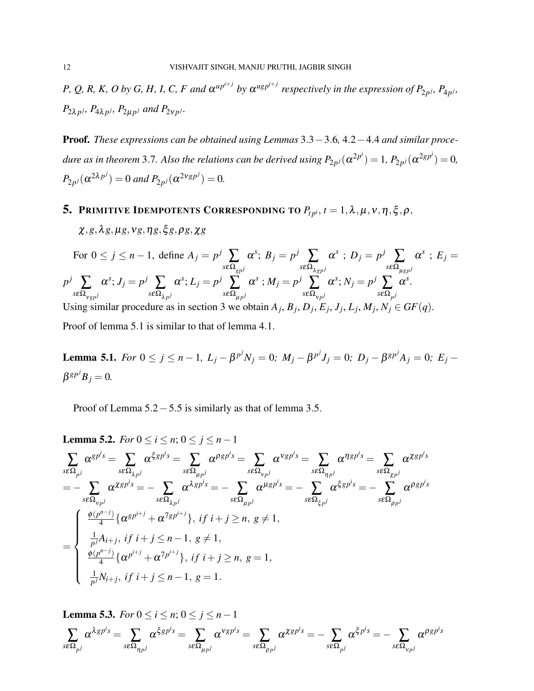*P*, Q, R, K, O by G, H, I, C, F and  $\alpha^{up^{i+j}}$  by  $\alpha^{ugp^{i+j}}$  respectively in the expression of  $P_{2p^j}$ ,  $P_{4p^j}$ ,  $P_{2\lambda p}$ *j*,  $P_{4\lambda p}$ *j*,  $P_{2\mu p}$ *j* and  $P_{2\nu p}$ *j*.

Proof. *These expressions can be obtained using Lemmas* 3.3−3.6*,* 4.2−4.4 *and similar procedure as in theorem* 3.7. Also the relations can be derived using  $P_{2p^j}(\alpha^{2p^i}) = 1$ ,  $P_{2p^j}(\alpha^{2gp^i}) = 0$ ,  $P_{2p^j}(\alpha^{2\lambda p^j}) = 0$  and  $P_{2p^j}(\alpha^{2Vgp^j}) = 0$ .

# 5. PRIMITIVE IDEMPOTENTS CORRESPONDING TO  $P_{tp^i}$ ,  $t = 1, \lambda, \mu, \nu, \eta, \xi, \rho$ ,

χ,*g*,λ*g*,µ*g*,ν*g*,η*g*,ξ *g*,ρ*g*,χ*g*

For 
$$
0 \le j \le n-1
$$
, define  $A_j = p^j \sum_{s \in \Omega_{gp}^j} \alpha^s$ ;  $B_j = p^j \sum_{s \in \Omega_{Agp}^j} \alpha^s$ ;  $D_j = p^j \sum_{s \in \Omega_{\mu gp}^j} \alpha^s$ ;  $E_j = p^j \sum_{s \in \Omega_{vgp}^j} \alpha^s$ ;  $J_j = p^j \sum_{s \in \Omega_{\lambda p}^j} \alpha^s$ ;  $M_j = p^j \sum_{s \in \Omega_{vp}^j} \alpha^s$ ;  $N_j = p^j \sum_{s \in \Omega_{pj}} \alpha^s$ .  
Using similar procedure as in section 3 we obtain  $A_j$ ,  $B_j$ ,  $D_j$ ,  $E_j$ ,  $J_j$ ,  $L_j$ ,  $M_j$ ,  $N_j \in GF(q)$ .

Proof of lemma 5.1 is similar to that of lemma 4.1.

**Lemma 5.1.** For  $0 \le j \le n-1$ ,  $L_j - \beta^{p^j} N_j = 0$ ;  $M_j - \beta^{p^j} J_j = 0$ ;  $D_j - \beta^{gp^j} A_j = 0$ ;  $E_j \beta^{gp^j}B_j=0.$ 

Proof of Lemma 5.2−5.5 is similarly as that of lemma 3.5.

**Lemma 5.2.** For 
$$
0 \le i \le n
$$
;  $0 \le j \le n-1$   
\n
$$
\sum_{s \in \Omega_{pj}} \alpha^{gp^i s} = \sum_{s \in \Omega_{\lambda_{pj}}} \alpha^{\xi g p^i s} = \sum_{s \in \Omega_{\mu_{pj}}} \alpha^{p g p^i s} = \sum_{s \in \Omega_{\nu_{pj}}} \alpha^{v g p^i s} = \sum_{s \in \Omega_{\lambda_{pj}}} \alpha^{x g p^i s}
$$
\n
$$
= - \sum_{s \in \Omega_{\nu_{pj}}} \alpha^{x g p^i s} = - \sum_{s \in \Omega_{\lambda_{pj}}} \alpha^{\lambda g p^i s} = - \sum_{s \in \Omega_{\mu_{pj}}} \alpha^{\mu g p^i s} = - \sum_{s \in \Omega_{\xi_{pj}}} \alpha^{\xi g p^i s} = - \sum_{s \in \Omega_{\mu_{pj}}} \alpha^{g g p^i s}
$$
\n
$$
= \begin{cases}\n\frac{\phi(p^{n-j})}{4} \{ \alpha^{gp^{i+j}} + \alpha^{7gp^{i+j}} \}, & \text{if } i + j \ge n, \ g \ne 1, \\
\frac{\partial}{\phi(p^{n-j})} \{ \alpha^{p^{i+j}} + \alpha^{7p^{i+j}} \}, & \text{if } i + j \ge n, \ g = 1, \\
\frac{\partial}{\phi(p^{n-j})} \{ \alpha^{p^{i+j}} + \alpha^{7p^{i+j}} \}, & \text{if } i + j \ge n, \ g = 1,\n\end{cases}
$$

**Lemma 5.3.** For 
$$
0 \le i \le n
$$
;  $0 \le j \le n-1$   

$$
\sum_{s \in \Omega_{p^j}} \alpha^{\lambda g p^i s} = \sum_{s \in \Omega_{p^j}} \alpha^{\xi g p^i s} = \sum_{s \in \Omega_{p^j}} \alpha^{\nu g p^i s} = \sum_{s \in \Omega_{p^j}} \alpha^{\chi g p^i s} = - \sum_{s \in \Omega_{p^j}} \alpha^{\xi p^i s} = - \sum_{s \in \Omega_{p^j}} \alpha^{\rho g p^i s}
$$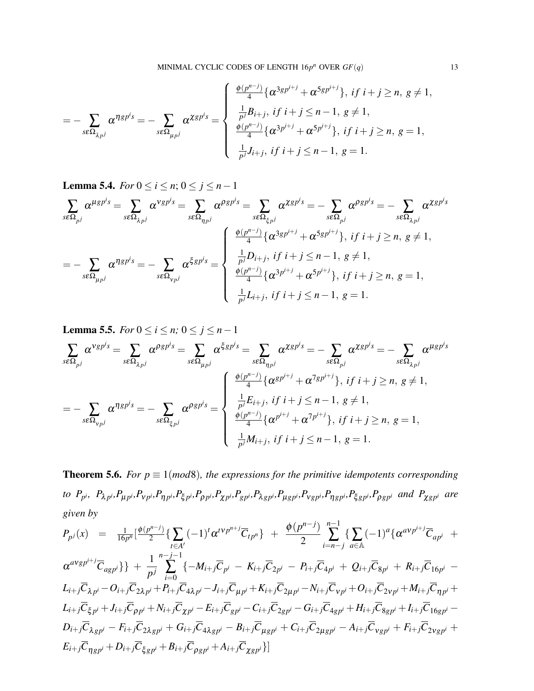$$
= - \sum_{s \in \Omega_{\lambda p^j}} \alpha^{\eta g p^i s} = - \sum_{s \in \Omega_{\mu p^j}} \alpha^{\chi g p^i s} = \begin{cases} \frac{\phi(p^{n-j})}{4} \{ \alpha^{3g p^{i+j}} + \alpha^{5g p^{i+j}} \}, & \text{if } i + j \ge n, \ g \ne 1, \\ \frac{1}{p^j} B_{i+j}, & \text{if } i + j \le n - 1, \ g \ne 1, \\ \frac{\phi(p^{n-j})}{4} \{ \alpha^{3p^{i+j}} + \alpha^{5p^{i+j}} \}, & \text{if } i + j \ge n, \ g = 1, \\ \frac{1}{p^j} J_{i+j}, & \text{if } i + j \le n - 1, \ g = 1. \end{cases}
$$

**Lemma 5.4.** *For*  $0 \le i \le n$ ;  $0 \le j \le n-1$ 

$$
\sum_{s\in\Omega_{pj}}\alpha^{\mu g p^i s} = \sum_{s\in\Omega_{\lambda p^j}}\alpha^{\nu g p^i s} = \sum_{s\in\Omega_{\eta p^j}}\alpha^{\rho g p^i s} = -\sum_{s\in\Omega_{\xi p^j}}\alpha^{\chi g p^i s} = -\sum_{s\in\Omega_{\lambda p^j}}\alpha^{\rho g p^i s} = -\sum_{s\in\Omega_{\lambda p^j}}\alpha^{\chi g p^i s}
$$
\n
$$
= -\sum_{s\in\Omega_{\mu p^j}}\alpha^{\eta g p^i s} = -\sum_{s\in\Omega_{\nu p^j}}\alpha^{\xi g p^i s} = \begin{cases} \frac{\phi(p^{n-j})}{4} \{\alpha^{3g p^{i+j}} + \alpha^{5g p^{i+j}}\}, & \text{if } i+j \ge n, \ g \neq 1, \\ \frac{1}{p^j}D_{i+j}, & \text{if } i+j \le n-1, \ g \neq 1, \\ \frac{\phi(p^{n-j})}{4} \{\alpha^{3p^{i+j}} + \alpha^{5p^{i+j}}\}, & \text{if } i+j \ge n, \ g = 1, \\ \frac{1}{p^j}L_{i+j}, & \text{if } i+j \le n-1, \ g = 1. \end{cases}
$$

**Lemma 5.5.** *For*  $0 \le i \le n$ ;  $0 \le j \le n-1$ 

$$
\sum_{s\in\Omega_{pj}} \alpha^{Vgp^i s} = \sum_{s\in\Omega_{\lambda_{pj}}} \alpha^{\beta g p^i s} = \sum_{s\in\Omega_{\mu_{pj}}} \alpha^{\xi g p^i s} = \sum_{s\in\Omega_{\eta_{pj}}} \alpha^{\chi g p^i s} = -\sum_{s\in\Omega_{\lambda_{pj}}} \alpha^{\chi g p^i s} = -\sum_{s\in\Omega_{\lambda_{pj}}} \alpha^{\mu g p^i s}
$$
\n
$$
= -\sum_{s\in\Omega_{\nu_{pj}}} \alpha^{\eta g p^i s} = -\sum_{s\in\Omega_{\xi_{pj}}} \alpha^{\beta g p^i s} = \begin{cases} \frac{\phi(p^{n-j})}{4} \{ \alpha^{g p^{i+j}} + \alpha^{7 g p^{i+j}} \}, & \text{if } i+j \ge n, \ g \neq 1, \\ \frac{1}{p^j} E_{i+j}, & \text{if } i+j \le n-1, \ g \neq 1, \\ \frac{\phi(p^{n-j})}{4} \{ \alpha^{p^{i+j}} + \alpha^{7 p^{i+j}} \}, & \text{if } i+j \ge n, \ g = 1, \\ \frac{1}{p^j} M_{i+j}, & \text{if } i+j \le n-1, \ g = 1. \end{cases}
$$

**Theorem 5.6.** *For*  $p \equiv 1 \pmod{8}$ *, the expressions for the primitive idempotents corresponding* to  $P_{p^i}$ ,  $P_{\lambda p^i}P_{\mu p^i}P_{\nu p^i}P_{\eta p^i}P_{\xi p^i}P_{\rho p^i}P_{\chi p^i}P_{\chi p^i}P_{\chi g p^i}P_{\lambda g p^i}P_{\mu g p^i}P_{\nu g p^i}P_{\eta g p^i}P_{\xi g p^i}P_{\rho g p^i}$  and  $P_{\chi g p^i}$  are *given by*

$$
P_{p^{j}}(x) = \frac{1}{16p^{n}} \left[ \frac{\phi(p^{n-j})}{2} \{ \sum_{t \in A'} (-1)^{t} \alpha^{tvp^{n+j}} \overline{C}_{tp^{n}} \} + \frac{\phi(p^{n-j})}{2} \sum_{i=n-j}^{n-1} \{ \sum_{a \in A} (-1)^{a} \{ \alpha^{avp^{i+j}} \overline{C}_{ap^{i}} + \alpha^{avp^{i+j}} \overline{C}_{ap^{i}} \} + \frac{\alpha^{avp^{i+j}} \overline{C}_{ap^{i+j}}}{2} \} \} + \frac{1}{p^{j}} \sum_{i=0}^{n-j-1} \{ -M_{i+j} \overline{C}_{p^{i}} - K_{i+j} \overline{C}_{2p^{i}} - P_{i+j} \overline{C}_{4p^{i}} + Q_{i+j} \overline{C}_{8p^{i}} + R_{i+j} \overline{C}_{16p^{i}} - L_{i+j} \overline{C}_{\lambda p^{i}} - Q_{i+j} \overline{C}_{2\lambda p^{i}} + P_{i+j} \overline{C}_{4\lambda p^{i}} - J_{i+j} \overline{C}_{\mu p^{i}} + K_{i+j} \overline{C}_{2\mu p^{i}} - N_{i+j} \overline{C}_{\nu p^{i}} + Q_{i+j} \overline{C}_{2\nu p^{i}} + M_{i+j} \overline{C}_{\eta p^{i}} + L_{i+j} \overline{C}_{\beta p^{i}} + J_{i+j} \overline{C}_{\rho p^{i}} + N_{i+j} \overline{C}_{\lambda g^{i}} - E_{i+j} \overline{C}_{g^{i}} - C_{i+j} \overline{C}_{2g^{i}} - G_{i+j} \overline{C}_{4g^{i}} + H_{i+j} \overline{C}_{8g^{i}} + I_{i+j} \overline{C}_{16g^{i}} - D_{i+j} \overline{C}_{\lambda g^{i}} - F_{i+j} \overline{C}_{2\lambda g^{i}} + G_{i+j} \overline{C}_{4\lambda g^{i}} - B_{i+j} \overline{C}_{\mu g^{i}} + C_{i+j} \overline{C}_{2\mu g^{i}} - A_{i+j} \overline{C}_{\nu g^{i}} + F_{i+j} \overline{C}_{2\nu g^{i}} + L_{i+j} \overline{C}_{\eta g^{i}} + D_{i+j} \overline{C}_{\xi g^{i}} + B_{i+j} \overline
$$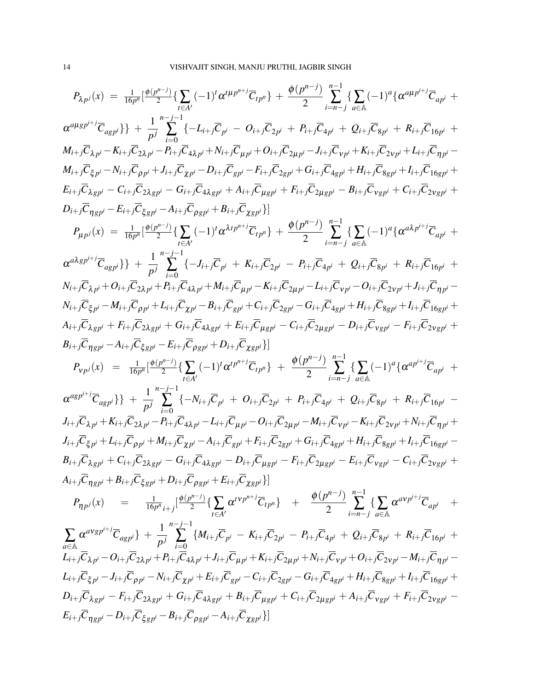$$
P_{\lambda p^{j}}(x) = \frac{1}{16p^{n}}[\frac{6(p^{n-j})}{2} \{\sum_{i \in A'} (-1)^{i} \alpha^{\mu} \mu^{n+j} \overline{C}_{ipp}\} + \frac{6(p^{n-j})}{2} \sum_{i \in A}^{-1} \{\sum_{i \in A} (-1)^{i} \{\alpha^{\mu} \mu^{j+j} \overline{C}_{apj'} + \frac{1}{2} \sum_{i \in A} (-1)^{i} \{\alpha^{\mu} \mu^{j+j} \overline{C}_{apj'} + \frac{1}{2} \sum_{i \in A} (-1)^{i} \{\alpha^{\mu} \mu^{j+j} \overline{C}_{apj'} + \frac{1}{2} \sum_{i \in A} (-1)^{i} \{\alpha^{\mu} \mu^{j+j} \overline{C}_{apj'} + \frac{1}{2} \sum_{i \in A} (-1)^{i} \{\alpha^{\mu} \mu^{j+j} \overline{C}_{apj'} + \frac{1}{2} \sum_{i \in A} (-1)^{i} \{\alpha^{\mu} \mu^{j+j} \overline{C}_{apj'} + \frac{1}{2} \sum_{i \in A} (-1)^{i} \{\alpha^{\mu} \mu^{j+j} \overline{C}_{apj'} + \frac{1}{2} \sum_{i \in B} (-1)^{i} \{\alpha^{\mu} \mu^{j+j} \overline{C}_{apj'} + \frac{1}{2} \sum_{i \in B} (-1)^{i} \{\alpha^{\mu} \mu^{j+j} \overline{C}_{apj'} + \frac{1}{2} \sum_{i \in B} (-1)^{i} \{\alpha^{\mu} \mu^{j+j} \overline{C}_{apj'} + \frac{1}{2} \sum_{i \in B} (-1)^{i} \{\alpha^{\mu} \mu^{j+j} \overline{C}_{apj'} + \frac{1}{2} \sum_{i \in A} (-1)^{i} \{\alpha^{\mu} \mu^{j+j} \overline{C}_{apj'} + \frac{1}{2} \sum_{i \in A} (-1)^{i} \{\alpha^{\mu} \mu^{j+j} \overline{C}_{apj'} + \frac{1}{2} \sum_{i \in A} (-1)^{i} \{\alpha^{\mu} \mu^{j+j} \overline{C}_{apj'} + \frac{1}{2} \sum_{i \in A} (-1)^{i} \{\alpha^{\mu} \mu^{j+j} \overline{C}_{apj'} + \frac{1}{2} \sum
$$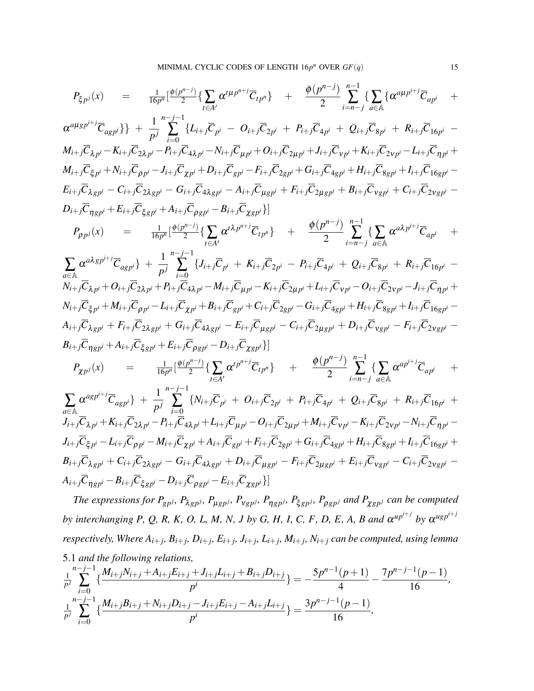$$
P_{\xi p^{j}}(x) = \frac{1}{16p^{n}} \left[ \frac{\phi(p^{n-j})}{2} \{ \sum_{i \in A'} \alpha^{\mu p^{n+j}} \overline{C}_{ip^{n}} \} + \frac{\phi(p^{n-j})}{2} \sum_{i=n-j}^{n-1} \{ \sum_{a \in A} (\alpha^{a\mu p^{i+j}} \overline{C}_{ap^{i}} + \alpha^{a\mu g p^{i+j}} \overline{C}_{ap^{j}} + \frac{\phi(p^{n-j})}{2} \sum_{i=n-j}^{n-1} \sum_{a \in A} (\alpha^{a\mu p^{i+j}} \overline{C}_{ap^{i}} + \alpha^{a\mu g p^{i+j}} \overline{C}_{ap^{j}} + \frac{1}{p^{j}} \sum_{i=0}^{n-j-1} \{ L_{i+j} \overline{C}_{p^{i}} - O_{i+j} \overline{C}_{2p^{i}} + P_{i+j} \overline{C}_{4p^{i}} + Q_{i+j} \overline{C}_{8p^{i}} + R_{i+j} \overline{C}_{16p^{i}} - M_{i+j} \overline{C}_{2p^{i}} - R_{i+j} \overline{C}_{2p^{i}} - P_{i+j} \overline{C}_{4p^{i}} - N_{i+j} \overline{C}_{4p^{i}} - N_{i+j} \overline{C}_{2p^{i}} + H_{i+j} \overline{C}_{2p^{i}} + H_{i+j} \overline{C}_{2p^{i}} - H_{i+j} \overline{C}_{2p^{i}} - H_{i+j} \overline{C}_{2p^{i}} - H_{i+j} \overline{C}_{2p^{i}} - H_{i+j} \overline{C}_{2p^{i}} + H_{i+j} \overline{C}_{2p^{i}} - H_{i+j} \overline{C}_{2p^{i}} - H_{i+j} \overline{C}_{2p^{i}} - H_{i+j} \overline{C}_{2p^{i}} - H_{i+j} \overline{C}_{2p^{i}} - H_{i+j} \overline{C}_{2p^{i}} - H_{i+j} \overline{C}_{2p^{i}} - H_{i+j} \overline{C}_{2p^{i}} - H_{i+j} \overline{C}_{2p^{i}} - H_{i+j} \overline{C}_{2p^{i}} - H_{i+j} \overline{C}_{2p^{i}} - H_{i+j} \overline{C}_{2p^{i}} - H_{i+j} \overline{C}_{2p^{i}} - H_{i+j} \overline{C}_{2p^{i
$$

 $B_{i+j}\overline{C}_{\lambda g p^i}+C_{i+j}\overline{C}_{2\lambda g p^i}-G_{i+j}\overline{C}_{4\lambda g p^i}+D_{i+j}\overline{C}_{\mu g p^i}-F_{i+j}\overline{C}_{2\mu g p^i}+E_{i+j}\overline{C}_{V g p^i}-C_{i+j}\overline{C}_{2\nu g p^i} A_{i+j}C_{\eta g p^i} - B_{i+j}C_{\xi g p^i} - D_{i+j}C_{\rho g p^i} - E_{i+j}C_{\chi g p^i}\}$ 

The expressions for  $P_{gpj}$ ,  $P_{\lambda gpj}$ ,  $P_{\mu gpj}$ ,  $P_{\nu gpj}$ ,  $P_{\eta gpj}$ ,  $P_{\xi gpj}$ ,  $P_{\rho gpj}$  and  $P_{\chi gpj}$  can be computed *by interchanging P, Q, R, K, O, L, M, N, J by G, H, I, C, F, D, E, A, B and*  $\alpha^{up^{i+j}}$  *by*  $\alpha^{ugp^{i+j}}$ respectively, Where  $A_{i+j}$ ,  $B_{i+j}$ ,  $D_{i+j}$ ,  $E_{i+j}$ ,  $J_{i+j}$ ,  $L_{i+j}$ ,  $M_{i+j}$ ,  $N_{i+j}$  can be computed, using lemma 5.1 *and the following relations,*

$$
\frac{1}{p^j} \sum_{i=0}^{n-j-1} \left\{ \frac{M_{i+j}N_{i+j} + A_{i+j}E_{i+j} + J_{i+j}L_{i+j} + B_{i+j}D_{i+j}}{p^i} \right\} = -\frac{5p^{n-1}(p+1)}{4} - \frac{7p^{n-j-1}(p-1)}{16},
$$
\n
$$
\frac{1}{p^j} \sum_{i=0}^{n-j-1} \left\{ \frac{M_{i+j}B_{i+j} + N_{i+j}D_{i+j} - J_{i+j}E_{i+j} - A_{i+j}L_{i+j}}{p^i} \right\} = \frac{3p^{n-j-1}(p-1)}{16},
$$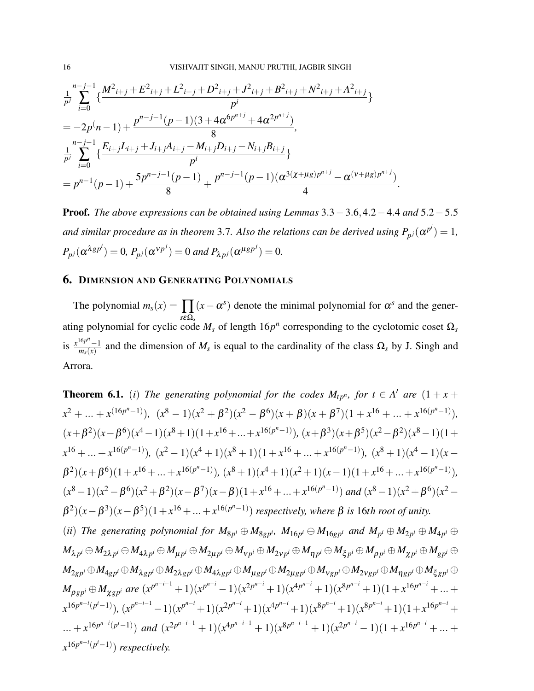$$
\frac{1}{p^j} \sum_{i=0}^{n-j-1} \left\{ \frac{M^2_{i+j} + E^2_{i+j} + L^2_{i+j} + D^2_{i+j} + J^2_{i+j} + B^2_{i+j} + N^2_{i+j} + A^2_{i+j}}{p^i} \right\}
$$
\n
$$
= -2p(n-1) + \frac{p^{n-j-1}(p-1)(3 + 4\alpha^{6p^{n+j}} + 4\alpha^{2p^{n+j}})}{8},
$$
\n
$$
\frac{1}{p^j} \sum_{i=0}^{n-j-1} \left\{ \frac{E_{i+j}L_{i+j} + J_{i+j}A_{i+j} - M_{i+j}D_{i+j} - N_{i+j}B_{i+j}}{p^i} \right\}
$$
\n
$$
= p^{n-1}(p-1) + \frac{5p^{n-j-1}(p-1)}{8} + \frac{p^{n-j-1}(p-1)(\alpha^{3}(x+\mu g)p^{n+j} - \alpha^{(v+\mu g)p^{n+j}})}{4}.
$$

Proof. *The above expressions can be obtained using Lemmas* 3.3−3.6,4.2−4.4 *and* 5.2−5.5 *and similar procedure as in theorem* 3.7. Also the relations can be derived using  $P_{p^j}(\alpha^{p^i}) = 1$ ,  $P_{p}(\alpha^{\lambda gp^i}) = 0$ ,  $P_{p}(\alpha^{\nu p^j}) = 0$  and  $P_{\lambda p^j}(\alpha^{\mu gp^j}) = 0$ .

### 6. DIMENSION AND GENERATING POLYNOMIALS

The polynomial  $m_s(x) = \prod_{s \in \Omega_s} (x - \alpha^s)$  denote the minimal polynomial for  $\alpha^s$  and the generating polynomial for cyclic code  $M_s$  of length  $16p^n$  corresponding to the cyclotomic coset  $\Omega_s$ is  $\frac{x^{16p^n} - 1}{m(x)}$  $\frac{m_p-1}{m_s(x)}$  and the dimension of  $M_s$  is equal to the cardinality of the class  $\Omega_s$  by J. Singh and Arrora.

**Theorem 6.1.** (*i*) *The generating polynomial for the codes*  $M_{tp^n}$ , for  $t \in A'$  are  $(1 + x + a')$  $(x^2 + \ldots + x^{(16p^n-1)}), (x^8 - 1)(x^2 + \beta^2)(x^2 - \beta^6)(x + \beta)(x + \beta^7)(1 + x^{16} + \ldots + x^{16(p^n-1)}),$  $(x+\beta^2)(x-\beta^6)(x^4-1)(x^8+1)(1+x^{16}+...+x^{16(p^n-1)}), (x+\beta^3)(x+\beta^5)(x^2-\beta^2)(x^8-1)(1+x^{16}+...+x^{16(p^n-1)}),$  $x^{16} + ... + x^{16(p^n-1)}$ ),  $(x^2 - 1)(x^4 + 1)(x^8 + 1)(1 + x^{16} + ... + x^{16(p^n-1)})$ ,  $(x^8 + 1)(x^4 - 1)(x - 1)$  $\beta^2(x+\beta^6)(1+x^{16}+\ldots+x^{16(p^n-1)}), (x^8+1)(x^4+1)(x^2+1)(x-1)(1+x^{16}+\ldots+x^{16(p^n-1)}),$  $(x^{8}-1)(x^{2}-\beta^{6})(x^{2}+\beta^{2})(x-\beta^{7})(x-\beta)(1+x^{16}+...+x^{16(p^{n}-1)})$  and  $(x^{8}-1)(x^{2}+\beta^{6})(x^{2}-x^{3})$  $β<sup>2</sup>)(x − β<sup>3</sup>)(x − β<sup>5</sup>)(1 + x<sup>16</sup> + ... + x<sup>16(p<sup>n</sup>−1)</sup>)$  *respectively, where* β *is* 16*th root of unity.* (ii) The generating polynomial for  $M_{8p^i} \oplus M_{8gp^i}$ ,  $M_{16p^i} \oplus M_{16gp^i}$  and  $M_{p^i} \oplus M_{2p^i} \oplus M_{4p^i} \oplus M_{4p^i}$  $M_{\lambda\, p^i}\oplus M_{2\lambda\, p^i}\oplus M_{4\lambda\, p^i}\oplus M_{\mu\, p^i}\oplus M_{2\mu\, p^i}\oplus M_{\nu\, p^i}\oplus M_{2\nu\, p^i}\oplus M_{\eta\, p^i}\oplus M_{\xi\, p^i}\oplus M_{\rho\, p^i}\oplus M_{\chi\, p^i}\oplus M_{g\, p^i}\oplus M_{g\, p^i}$  $M_{2\,g\,p^i}\oplus M_{4\,g\,p^i}\oplus M_{\lambda\,g\,p^i}\oplus M_{2\,\lambda\,g\,p^i}\oplus M_{4\,\lambda\,g\,p^i}\oplus M_{\mu\,g\,p^i}\oplus M_{2\,\mu\,g\,p^i}\oplus M_{\gamma\,g\,p^i}\oplus M_{2\,\nu\,g\,p^i}\oplus M_{\eta\,g\,p^i}\oplus M_{\xi\,g\,p^i}\oplus M_{\eta\,g\,p^i}\oplus M_{\eta\,g\,p^i}\oplus M_{\eta\,g\,p^i}\oplus M_{\eta$  $M_{\rho g p^i} \oplus M_{\chi g p^i}$  are  $(x^{p^{n-i-1}}+1)(x^{p^{n-i}}-1)(x^{2p^{n-i}}+1)(x^{4p^{n-i}}+1)(x^{8p^{n-i}}+1)(1+x^{16p^{n-i}}+...+$  $x^{16p^{n-i}(p^i-1)}$ ),  $(x^{p^{n-i}-1})(x^{p^{n-i}}+1)(x^{2p^{n-i}}+1)(x^{4p^{n-i}}+1)(x^{8p^{n-i}}+1)(x^{8p^{n-i}}+1)(1+x^{16p^{n-i}}+1)$  $\ldots + x^{16p^{n-i}(p^{i}-1)}$  and  $(x^{2p^{n-i-1}}+1)(x^{4p^{n-i-1}}+1)(x^{8p^{n-i-1}}+1)(x^{2p^{n-i}}-1)(1+x^{16p^{n-i}}+\ldots+$  $x^{16p^{n-i}(p^i-1)}$ ) *respectively.*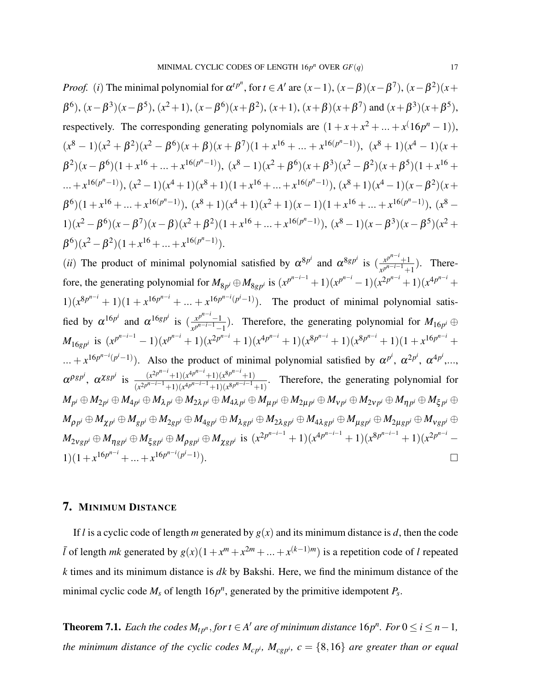*Proof.* (i) The minimal polynomial for 
$$
\alpha^{t}p^{n}
$$
, for  $t \in A'$  are  $(x-1)$ ,  $(x-\beta)(x-\beta^{7})$ ,  $(x-\beta^{2})(x+\beta^{6})$ ,  $(x-\beta^{3})(x-\beta^{5})$ ,  $(x^{2}+1)$ ,  $(x-\beta^{6})(x+\beta^{2})$ ,  $(x+1)$ ,  $(x+\beta)(x+\beta^{7})$  and  $(x+\beta^{3})(x+\beta^{5})$ , respectively. The corresponding generating polynomials are  $(1 + x + x^{2} + ... + x^{(16p^{n} - 1)})$ ,  $(x^{8} - 1)(x^{2} + \beta^{2})(x^{2} - \beta^{6})(x + \beta)(x + \beta^{7})(1 + x^{16} + ... + x^{16(p^{n} - 1)})$ ,  $(x^{8} + 1)(x^{4} - 1)(x + \beta^{2})(x - \beta^{6})(1 + x^{16} + ... + x^{16(p^{n} - 1)})$ ,  $(x^{8} - 1)(x^{2} + \beta^{6})(x + \beta^{3})(x^{2} - \beta^{2})(x + \beta^{5})(1 + x^{16} + ... + x^{16(p^{n} - 1)})$ ,  $(x^{2} - 1)(x^{4} + 1)(x^{8} + 1)(1 + x^{16} + ... + x^{16(p^{n} - 1)})$ ,  $(x^{8} + 1)(x^{4} - 1)(x - \beta^{2})(x + \beta^{6})(1 + x^{16} + ... + x^{16(p^{n} - 1)})$ ,  $(x^{8} + 1)(x^{4} + 1)(x^{2} + 1)(x - 1)(1 + x^{16} + ... + x^{16(p^{n} - 1)})$ ,  $(x^{8} - 1)(x^{2} - \beta^{6})(x - \beta^{7})(x - \beta)(x^{2} + \beta^{2})(1 + x^{16} + ... + x^{16(p^{n} - 1)})$ ,  $(x^{8} - 1)(x - \beta^{3})(x - \beta^{5})(x^{2} + \beta^{6})(x^{2} - \beta^{2})(1 + x^{16} + ... + x^{16(p^{n} - 1)})$ .

(*ii*) The product of minimal polynomial satisfied by  $\alpha^{8p^i}$  and  $\alpha^{8gp^i}$  is  $\left(\frac{x^{p^{n-i}}+1}{p^{n-i-1}}\right)$  $\frac{x^p+1}{x^{p^{n-i-1}+1}}$ ). Therefore, the generating polynomial for  $M_{8p^i} \oplus M_{8gp^i}$  is  $(x^{p^{n-i}-1})(x^{p^{n-i}}-1)(x^{2p^{n-i}}+1)(x^{4p^{n-i}}+1)$  $1(x^{8p^{n-i}}+1)(1+x^{16p^{n-i}}+...+x^{16p^{n-i}(p^i-1)})$ . The product of minimal polynomial satisfied by  $\alpha^{16p^i}$  and  $\alpha^{16gp^i}$  is  $\left(\frac{x^{p^{n-i}-1}}{x^{p^{n-i}-1}}\right)$  $\frac{x^p}{x^{p^{n-i-1}-1}}$ ). Therefore, the generating polynomial for  $M_{16p^i} \oplus$  $M_{16gp^i}$  is  $(x^{p^{n-i-1}}-1)(x^{p^{n-i}}+1)(x^{2p^{n-i}}+1)(x^{4p^{n-i}}+1)(x^{8p^{n-i}}+1)(x^{8p^{n-i}}+1)(1+x^{16p^{n-i}}+$  $(x + x^{16p^{n-i}(p^i-1)})$ . Also the product of minimal polynomial satisfied by  $\alpha^{p^i}, \alpha^{2p^i}, \alpha^{4p^i}, \ldots$  $\alpha^{\rho} s p^{i}$ ,  $\alpha^{\chi} s p^{i}$  is  $\frac{(x^{2p^{n-i}+1})(x^{4p^{n-i}+1})(x^{8p^{n-i}+1})}{(x^{2p^{n-i-1}+1})(x^{4p^{n-i-1}+1})(x^{8p^{n-i}-1})}$  $\frac{(x^{p-1})(x^{p-1}+1)(x^{p-1}+1)}{(x^{2p^{n-i-1}}+1)(x^{4p^{n-i-1}}+1)(x^{8p^{n-i-1}}+1)}$ . Therefore, the generating polynomial for  $M_{p^i}\oplus M_{2p^i}\oplus M_{4p^i}\oplus M_{\lambda\, p^i}\oplus M_{2\lambda\, p^i}\oplus M_{4\lambda\, p^i}\oplus M_{\mu\, p^i}\oplus M_{2\mu\, p^i}\oplus M_{\nu\, p^i}\oplus M_{2\nu\, p^i}\oplus M_{\eta\, p^i}\oplus M_{\xi\, p^i}\oplus$  $M_{\rho\,pi^i}\oplus M_{\chi\,pi^i}\oplus M_{g\,pi^i}\oplus M_{2g\,pi^i}\oplus M_{4g\,pi^i}\oplus M_{\lambda\,g\,pi^i}\oplus M_{2\lambda\,g\,pi^i}\oplus M_{4\lambda\,g\,p^i}\oplus M_{\mu\,g\,pi^i}\oplus M_{\nu\,g\,pi^i}\oplus M_{\nu\,g\,p^i}\oplus M_{\nu\,g\,p^i}\oplus M_{\nu\,g\,n\,i}\oplus M_{\nu\,g\,n\,i}\oplus M_{\nu\,g\,n\,i}\oplus M_{\nu\,$  $M_{2\vee g p^i}\oplus M_{\eta g p^i}\oplus M_{\xi g p^i}\oplus M_{\rho g p^i}\oplus M_{\chi g p^i} \,\,\text{is}\,\,(x^{2p^{n-i-1}}+1)(x^{4p^{n-i-1}}+1)(x^{8p^{n-i-1}}+1)(x^{2p^{n-i}}-1)$  $1)(1+x^{16p^{n-i}}+...+x^{16p^{n-i}(p^i-1)}$  $\Box$ 

#### 7. MINIMUM DISTANCE

If *l* is a cyclic code of length *m* generated by  $g(x)$  and its minimum distance is *d*, then the code  $\bar{l}$  of length *mk* generated by  $g(x)(1+x^m+x^{2m}+\ldots+x^{(k-1)m})$  is a repetition code of *l* repeated *k* times and its minimum distance is *dk* by Bakshi. Here, we find the minimum distance of the minimal cyclic code  $M_s$  of length  $16p^n$ , generated by the primitive idempotent  $P_s$ .

**Theorem 7.1.** Each the codes  $M_{tp^n}$ , for  $t \in A'$  are of minimum distance  $16p^n$ . For  $0 \le i \le n-1$ , *the minimum distance of the cyclic codes*  $M_{\text{c}}/N_{\text{c}}$ *i*,  $M_{\text{c}}/N_{\text{c}}$ *i*,  $c = \{8, 16\}$  *are greater than or equal*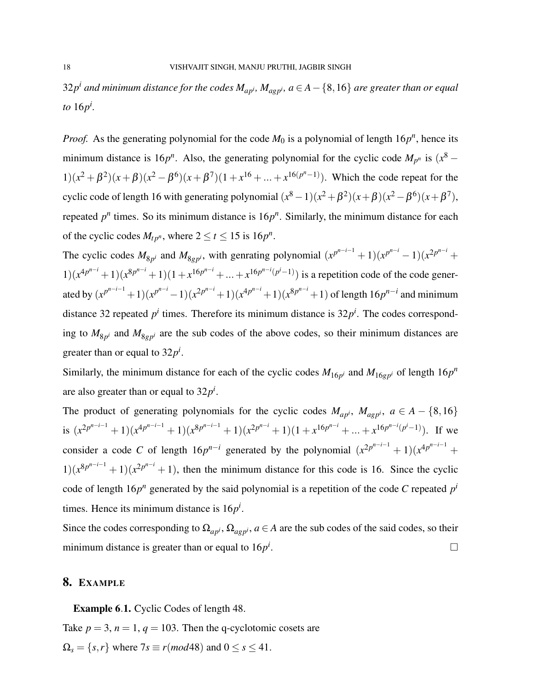$32p^i$  and minimum distance for the codes  $M_{ap^i}$ ,  $M_{agp^i}$ ,  $a$   $\in$   $A$   $\{8,16\}$  are greater than or equal *to* 16*p i .*

*Proof.* As the generating polynomial for the code  $M_0$  is a polynomial of length  $16p^n$ , hence its minimum distance is 16 $p^n$ . Also, the generating polynomial for the cyclic code  $M_{p^n}$  is  $(x^8 1(x^2 + \beta^2)(x + \beta)(x^2 - \beta^6)(x + \beta^7)(1 + x^{16} + ... + x^{16(p^n-1)})$ . Which the code repeat for the cyclic code of length 16 with generating polynomial  $(x^8 - 1)(x^2 + \beta^2)(x + \beta)(x^2 - \beta^6)(x + \beta^7)$ , repeated  $p^n$  times. So its minimum distance is  $16p^n$ . Similarly, the minimum distance for each of the cyclic codes  $M_{tp^n}$ , where  $2 \le t \le 15$  is  $16p^n$ .

The cyclic codes  $M_{8p^i}$  and  $M_{8gp^i}$ , with genrating polynomial  $(x^{p^{n-i}-1})(x^{p^{n-i}}-1)(x^{2p^{n-i}}+1)$  $1(x^{4p^{n-i}}+1)(x^{8p^{n-i}}+1)(1+x^{16p^{n-i}}+...+x^{16p^{n-i}(p^{i}-1)})$  is a repetition code of the code generated by  $(x^{p^{n-i-1}}+1)(x^{p^{n-i}}-1)(x^{2p^{n-i}}+1)(x^{4p^{n-i}}+1)(x^{8p^{n-i}}+1)$  of length  $16p^{n-i}$  and minimum distance 32 repeated  $p^i$  times. Therefore its minimum distance is  $32p^i$ . The codes corresponding to  $M_{8p^i}$  and  $M_{8gp^i}$  are the sub codes of the above codes, so their minimum distances are greater than or equal to  $32p^i$ .

Similarly, the minimum distance for each of the cyclic codes  $M_{16p^i}$  and  $M_{16gp^i}$  of length  $16p^n$ are also greater than or equal to 32*p i* .

The product of generating polynomials for the cyclic codes  $M_{ap^i}$ ,  $M_{a g p^i}$ ,  $a \in A - \{8, 16\}$ is  $(x^{2p^{n-i-1}}+1)(x^{4p^{n-i-1}}+1)(x^{8p^{n-i-1}}+1)(x^{2p^{n-i}}+1)(1+x^{16p^{n-i}}+...+x^{16p^{n-i}(p^{i}-1)})$ . If we consider a code *C* of length  $16p^{n-i}$  generated by the polynomial  $(x^{2p^{n-i-1}} + 1)(x^{4p^{n-i-1}} +$  $1(x^{8p^{n-i-1}}+1)(x^{2p^{n-i}}+1)$ , then the minimum distance for this code is 16. Since the cyclic code of length  $16p^n$  generated by the said polynomial is a repetition of the code *C* repeated  $p^i$ times. Hence its minimum distance is 16*p i* .

Since the codes corresponding to  $\Omega_{ap^i}$ ,  $\Omega_{a g p^i}$ ,  $a \in A$  are the sub codes of the said codes, so their minimum distance is greater than or equal to 16*p i* .

### 8. EXAMPLE

Example 6.1. Cyclic Codes of length 48.

Take  $p = 3$ ,  $n = 1$ ,  $q = 103$ . Then the q-cyclotomic cosets are  $\Omega_s = \{s, r\}$  where  $7s \equiv r \pmod{48}$  and  $0 \le s \le 41$ .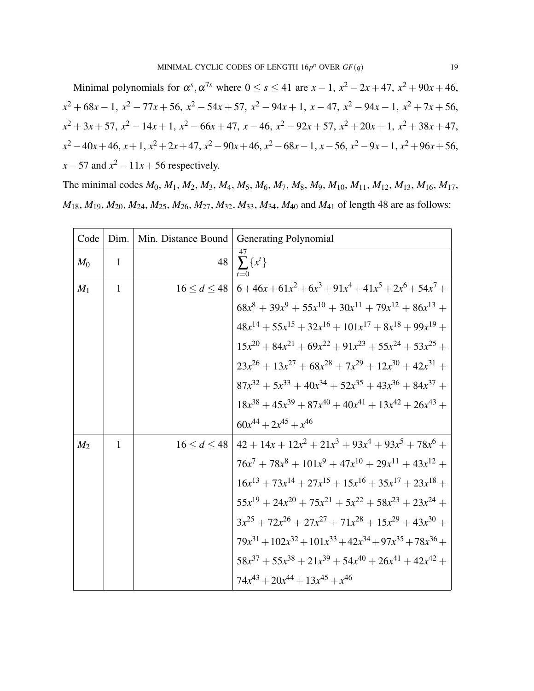Minimal polynomials for  $\alpha^s$ ,  $\alpha^{7s}$  where  $0 \le s \le 41$  are  $x - 1$ ,  $x^2 - 2x + 47$ ,  $x^2 + 90x + 46$ , *x* <sup>2</sup> + 68*x* − 1, *x* <sup>2</sup> − 77*x* + 56, *x* <sup>2</sup> − 54*x* + 57, *x* <sup>2</sup> − 94*x* + 1, *x* − 47, *x* <sup>2</sup> − 94*x* − 1, *x* <sup>2</sup> + 7*x* + 56,  $x^2 + 3x + 57$ ,  $x^2 - 14x + 1$ ,  $x^2 - 66x + 47$ ,  $x - 46$ ,  $x^2 - 92x + 57$ ,  $x^2 + 20x + 1$ ,  $x^2 + 38x + 47$ , *x*<sup>2</sup> − 40*x* + 46, *x* + 1, *x*<sup>2</sup> + 2*x* + 47, *x*<sup>2</sup> − 90*x* + 46, *x*<sup>2</sup> − 68*x* − 1, *x* − 56, *x*<sup>2</sup> − 9*x* − 1, *x*<sup>2</sup> + 96*x* + 56,  $x - 57$  and  $x^2 - 11x + 56$  respectively.

The minimal codes *M*0, *M*1, *M*2, *M*3, *M*4, *M*5, *M*6, *M*7, *M*8, *M*9, *M*10, *M*11, *M*12, *M*13, *M*16, *M*17,  $M_{18}$ ,  $M_{19}$ ,  $M_{20}$ ,  $M_{24}$ ,  $M_{25}$ ,  $M_{26}$ ,  $M_{27}$ ,  $M_{32}$ ,  $M_{33}$ ,  $M_{34}$ ,  $M_{40}$  and  $M_{41}$  of length 48 are as follows:

| Code           | Dim.         | Min. Distance Bound | Generating Polynomial                                                     |
|----------------|--------------|---------------------|---------------------------------------------------------------------------|
| $M_0$          | $\mathbf{1}$ | 48                  | $\sum \{x^t\}$                                                            |
| $M_1$          | 1            |                     | $16 < d < 48$   $6 + 46x + 61x^2 + 6x^3 + 91x^4 + 41x^5 + 2x^6 + 54x^7 +$ |
|                |              |                     | $68x^8 + 39x^9 + 55x^{10} + 30x^{11} + 79x^{12} + 86x^{13} +$             |
|                |              |                     | $48x^{14} + 55x^{15} + 32x^{16} + 101x^{17} + 8x^{18} + 99x^{19} +$       |
|                |              |                     | $15x^{20} + 84x^{21} + 69x^{22} + 91x^{23} + 55x^{24} + 53x^{25} +$       |
|                |              |                     | $23x^{26} + 13x^{27} + 68x^{28} + 7x^{29} + 12x^{30} + 42x^{31} +$        |
|                |              |                     | $87x^{32} + 5x^{33} + 40x^{34} + 52x^{35} + 43x^{36} + 84x^{37} +$        |
|                |              |                     | $18x^{38} + 45x^{39} + 87x^{40} + 40x^{41} + 13x^{42} + 26x^{43} +$       |
|                |              |                     | $60x^{44} + 2x^{45} + x^{46}$                                             |
| M <sub>2</sub> | $\mathbf{1}$ |                     | $16 < d < 48$   $42 + 14x + 12x^2 + 21x^3 + 93x^4 + 93x^5 + 78x^6 +$      |
|                |              |                     | $76x^7 + 78x^8 + 101x^9 + 47x^{10} + 29x^{11} + 43x^{12} +$               |
|                |              |                     | $16x^{13} + 73x^{14} + 27x^{15} + 15x^{16} + 35x^{17} + 23x^{18} +$       |
|                |              |                     | $55x^{19} + 24x^{20} + 75x^{21} + 5x^{22} + 58x^{23} + 23x^{24} +$        |
|                |              |                     | $3x^{25} + 72x^{26} + 27x^{27} + 71x^{28} + 15x^{29} + 43x^{30} +$        |
|                |              |                     | $79x^{31} + 102x^{32} + 101x^{33} + 42x^{34} + 97x^{35} + 78x^{36} +$     |
|                |              |                     | $58x^{37} + 55x^{38} + 21x^{39} + 54x^{40} + 26x^{41} + 42x^{42} +$       |
|                |              |                     | $74x^{43} + 20x^{44} + 13x^{45} + x^{46}$                                 |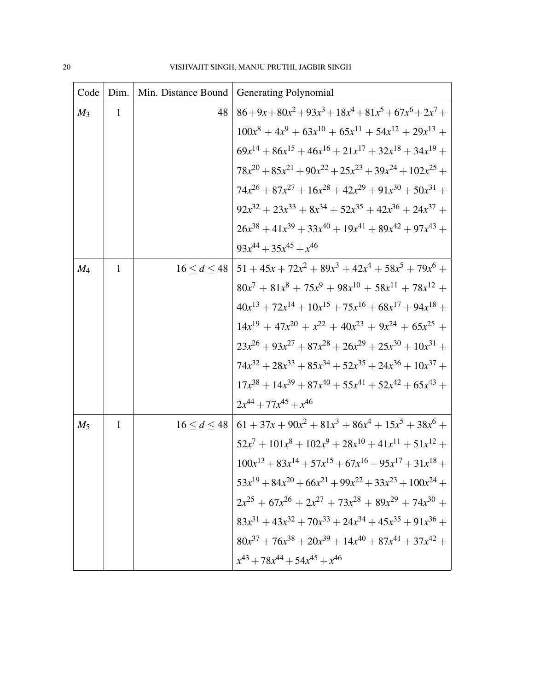| Code  | Dim.         | Min. Distance Bound | <b>Generating Polynomial</b>                                             |
|-------|--------------|---------------------|--------------------------------------------------------------------------|
| $M_3$ | $\mathbf{1}$ | 48                  | $86 + 9x + 80x^2 + 93x^3 + 18x^4 + 81x^5 + 67x^6 + 2x^7 +$               |
|       |              |                     | $100x^8 + 4x^9 + 63x^{10} + 65x^{11} + 54x^{12} + 29x^{13} +$            |
|       |              |                     | $69x^{14} + 86x^{15} + 46x^{16} + 21x^{17} + 32x^{18} + 34x^{19} +$      |
|       |              |                     | $78x^{20} + 85x^{21} + 90x^{22} + 25x^{23} + 39x^{24} + 102x^{25} +$     |
|       |              |                     | $74x^{26} + 87x^{27} + 16x^{28} + 42x^{29} + 91x^{30} + 50x^{31} +$      |
|       |              |                     | $92x^{32} + 23x^{33} + 8x^{34} + 52x^{35} + 42x^{36} + 24x^{37} +$       |
|       |              |                     | $26x^{38} + 41x^{39} + 33x^{40} + 19x^{41} + 89x^{42} + 97x^{43} +$      |
|       |              |                     | $93x^{44} + 35x^{45} + x^{46}$                                           |
| $M_4$ | 1            | 16 < d < 48         | $151 + 45x + 72x^2 + 89x^3 + 42x^4 + 58x^5 + 79x^6 +$                    |
|       |              |                     | $80x^{7} + 81x^{8} + 75x^{9} + 98x^{10} + 58x^{11} + 78x^{12} +$         |
|       |              |                     | $40x^{13} + 72x^{14} + 10x^{15} + 75x^{16} + 68x^{17} + 94x^{18} +$      |
|       |              |                     | $14x^{19} + 47x^{20} + x^{22} + 40x^{23} + 9x^{24} + 65x^{25} +$         |
|       |              |                     | $23x^{26} + 93x^{27} + 87x^{28} + 26x^{29} + 25x^{30} + 10x^{31} +$      |
|       |              |                     | $74x^{32} + 28x^{33} + 85x^{34} + 52x^{35} + 24x^{36} + 10x^{37} +$      |
|       |              |                     | $17x^{38} + 14x^{39} + 87x^{40} + 55x^{41} + 52x^{42} + 65x^{43} +$      |
|       |              |                     | $2x^{44} + 77x^{45} + x^{46}$                                            |
| $M_5$ | $\mathbf{1}$ |                     | $16 \le d \le 48$   $61 + 37x + 90x^2 + 81x^3 + 86x^4 + 15x^5 + 38x^6 +$ |
|       |              |                     | $52x^{7} + 101x^{8} + 102x^{9} + 28x^{10} + 41x^{11} + 51x^{12} +$       |
|       |              |                     | $100x^{13} + 83x^{14} + 57x^{15} + 67x^{16} + 95x^{17} + 31x^{18} +$     |
|       |              |                     | $53x^{19} + 84x^{20} + 66x^{21} + 99x^{22} + 33x^{23} + 100x^{24} +$     |
|       |              |                     | $2x^{25} + 67x^{26} + 2x^{27} + 73x^{28} + 89x^{29} + 74x^{30} +$        |
|       |              |                     | $83x^{31} + 43x^{32} + 70x^{33} + 24x^{34} + 45x^{35} + 91x^{36} +$      |
|       |              |                     | $80x^{37} + 76x^{38} + 20x^{39} + 14x^{40} + 87x^{41} + 37x^{42} +$      |
|       |              |                     | $x^{43} + 78x^{44} + 54x^{45} + x^{46}$                                  |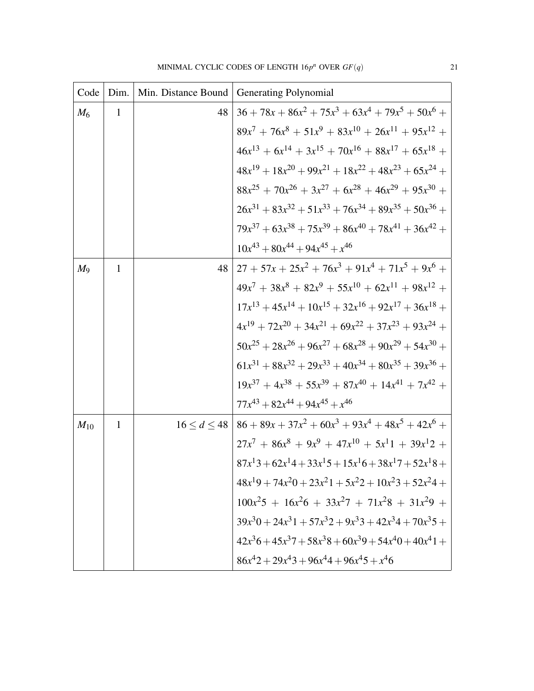| Code     | Dim.         | Min. Distance Bound | Generating Polynomial                                                    |
|----------|--------------|---------------------|--------------------------------------------------------------------------|
| $M_6$    | 1            | 48                  | $36 + 78x + 86x^2 + 75x^3 + 63x^4 + 79x^5 + 50x^6 +$                     |
|          |              |                     | $89x^{7} + 76x^{8} + 51x^{9} + 83x^{10} + 26x^{11} + 95x^{12} +$         |
|          |              |                     | $46x^{13} + 6x^{14} + 3x^{15} + 70x^{16} + 88x^{17} + 65x^{18} +$        |
|          |              |                     | $48x^{19} + 18x^{20} + 99x^{21} + 18x^{22} + 48x^{23} + 65x^{24} +$      |
|          |              |                     | $88x^{25} + 70x^{26} + 3x^{27} + 6x^{28} + 46x^{29} + 95x^{30} +$        |
|          |              |                     | $26x^{31} + 83x^{32} + 51x^{33} + 76x^{34} + 89x^{35} + 50x^{36} +$      |
|          |              |                     | $79x^{37} + 63x^{38} + 75x^{39} + 86x^{40} + 78x^{41} + 36x^{42} +$      |
|          |              |                     | $10x^{43} + 80x^{44} + 94x^{45} + x^{46}$                                |
| $M_{9}$  | 1            | 48                  | $27 + 57x + 25x^2 + 76x^3 + 91x^4 + 71x^5 + 9x^6 +$                      |
|          |              |                     | $49x^{7} + 38x^{8} + 82x^{9} + 55x^{10} + 62x^{11} + 98x^{12} +$         |
|          |              |                     | $17x^{13} + 45x^{14} + 10x^{15} + 32x^{16} + 92x^{17} + 36x^{18} +$      |
|          |              |                     | $4x^{19} + 72x^{20} + 34x^{21} + 69x^{22} + 37x^{23} + 93x^{24} +$       |
|          |              |                     | $50x^{25} + 28x^{26} + 96x^{27} + 68x^{28} + 90x^{29} + 54x^{30} +$      |
|          |              |                     | $61x^{31} + 88x^{32} + 29x^{33} + 40x^{34} + 80x^{35} + 39x^{36} +$      |
|          |              |                     | $19x^{37} + 4x^{38} + 55x^{39} + 87x^{40} + 14x^{41} + 7x^{42} +$        |
|          |              |                     | $77x^{43} + 82x^{44} + 94x^{45} + x^{46}$                                |
| $M_{10}$ | $\mathbf{1}$ |                     | $16 \le d \le 48$   $86 + 89x + 37x^2 + 60x^3 + 93x^4 + 48x^5 + 42x^6 +$ |
|          |              |                     | $27x^{7} + 86x^{8} + 9x^{9} + 47x^{10} + 5x^{1}1 + 39x^{12} +$           |
|          |              |                     | $87x^13+62x^14+33x^15+15x^16+38x^17+52x^18+$                             |
|          |              |                     | $48x^19 + 74x^20 + 23x^21 + 5x^22 + 10x^23 + 52x^24 +$                   |
|          |              |                     | $100x^{2}5 + 16x^{2}6 + 33x^{2}7 + 71x^{2}8 + 31x^{2}9 +$                |
|          |              |                     | $39x^30 + 24x^31 + 57x^32 + 9x^33 + 42x^34 + 70x^35 +$                   |
|          |              |                     | $42x^36 + 45x^37 + 58x^38 + 60x^39 + 54x^40 + 40x^41 +$                  |
|          |              |                     | $86x^42 + 29x^43 + 96x^44 + 96x^45 + x^46$                               |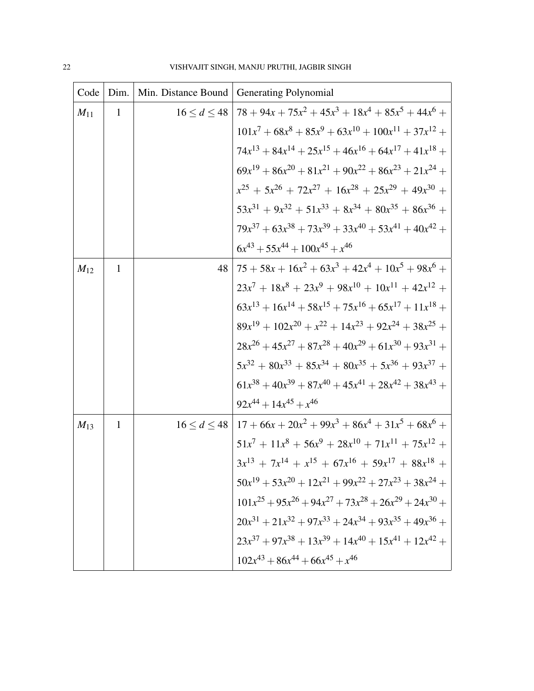| Code     | Dim.         | Min. Distance Bound | <b>Generating Polynomial</b>                                             |
|----------|--------------|---------------------|--------------------------------------------------------------------------|
| $M_{11}$ | $\mathbf{1}$ | 16 < d < 48         | $\left(78+94x+75x^2+45x^3+18x^4+85x^5+44x^6\right)$                      |
|          |              |                     | $101x^7 + 68x^8 + 85x^9 + 63x^{10} + 100x^{11} + 37x^{12} +$             |
|          |              |                     | $74x^{13} + 84x^{14} + 25x^{15} + 46x^{16} + 64x^{17} + 41x^{18} +$      |
|          |              |                     | $69x^{19} + 86x^{20} + 81x^{21} + 90x^{22} + 86x^{23} + 21x^{24} +$      |
|          |              |                     | $x^{25} + 5x^{26} + 72x^{27} + 16x^{28} + 25x^{29} + 49x^{30} +$         |
|          |              |                     | $53x^{31} + 9x^{32} + 51x^{33} + 8x^{34} + 80x^{35} + 86x^{36} +$        |
|          |              |                     | $79x^{37} + 63x^{38} + 73x^{39} + 33x^{40} + 53x^{41} + 40x^{42} +$      |
|          |              |                     | $6x^{43} + 55x^{44} + 100x^{45} + x^{46}$                                |
| $M_{12}$ | $\mathbf{1}$ | 48                  | $75 + 58x + 16x^2 + 63x^3 + 42x^4 + 10x^5 + 98x^6 +$                     |
|          |              |                     | $23x^{7} + 18x^{8} + 23x^{9} + 98x^{10} + 10x^{11} + 42x^{12} +$         |
|          |              |                     | $63x^{13} + 16x^{14} + 58x^{15} + 75x^{16} + 65x^{17} + 11x^{18} +$      |
|          |              |                     | $89x^{19} + 102x^{20} + x^{22} + 14x^{23} + 92x^{24} + 38x^{25} +$       |
|          |              |                     | $28x^{26} + 45x^{27} + 87x^{28} + 40x^{29} + 61x^{30} + 93x^{31} +$      |
|          |              |                     | $5x^{32} + 80x^{33} + 85x^{34} + 80x^{35} + 5x^{36} + 93x^{37} +$        |
|          |              |                     | $61x^{38} + 40x^{39} + 87x^{40} + 45x^{41} + 28x^{42} + 38x^{43} +$      |
|          |              |                     | $92x^{44} + 14x^{45} + x^{46}$                                           |
| $M_{13}$ | 1            |                     | $16 \le d \le 48$   $17 + 66x + 20x^2 + 99x^3 + 86x^4 + 31x^5 + 68x^6 +$ |
|          |              |                     | $51x^7 + 11x^8 + 56x^9 + 28x^{10} + 71x^{11} + 75x^{12} +$               |
|          |              |                     | $3x^{13} + 7x^{14} + x^{15} + 67x^{16} + 59x^{17} + 88x^{18} +$          |
|          |              |                     | $50x^{19} + 53x^{20} + 12x^{21} + 99x^{22} + 27x^{23} + 38x^{24} +$      |
|          |              |                     | $101x^{25} + 95x^{26} + 94x^{27} + 73x^{28} + 26x^{29} + 24x^{30} +$     |
|          |              |                     | $20x^{31} + 21x^{32} + 97x^{33} + 24x^{34} + 93x^{35} + 49x^{36} +$      |
|          |              |                     | $23x^{37} + 97x^{38} + 13x^{39} + 14x^{40} + 15x^{41} + 12x^{42} +$      |
|          |              |                     | $102x^{43} + 86x^{44} + 66x^{45} + x^{46}$                               |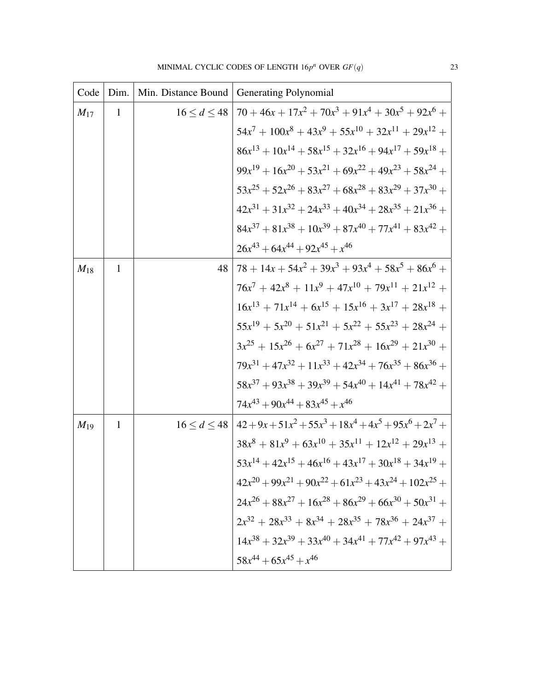| Code     | Dim.         | Min. Distance Bound | <b>Generating Polynomial</b>                                         |
|----------|--------------|---------------------|----------------------------------------------------------------------|
| $M_{17}$ | $\mathbf{1}$ |                     | $16 < d < 48$   $70 + 46x + 17x^2 + 70x^3 + 91x^4 + 30x^5 + 92x^6 +$ |
|          |              |                     | $54x^{7} + 100x^{8} + 43x^{9} + 55x^{10} + 32x^{11} + 29x^{12} +$    |
|          |              |                     | $86x^{13} + 10x^{14} + 58x^{15} + 32x^{16} + 94x^{17} + 59x^{18} +$  |
|          |              |                     | $99x^{19} + 16x^{20} + 53x^{21} + 69x^{22} + 49x^{23} + 58x^{24} +$  |
|          |              |                     | $53x^{25} + 52x^{26} + 83x^{27} + 68x^{28} + 83x^{29} + 37x^{30} +$  |
|          |              |                     | $42x^{31} + 31x^{32} + 24x^{33} + 40x^{34} + 28x^{35} + 21x^{36} +$  |
|          |              |                     | $84x^{37} + 81x^{38} + 10x^{39} + 87x^{40} + 77x^{41} + 83x^{42} +$  |
|          |              |                     | $26x^{43} + 64x^{44} + 92x^{45} + x^{46}$                            |
| $M_{18}$ | 1            | 48                  | $78 + 14x + 54x^2 + 39x^3 + 93x^4 + 58x^5 + 86x^6 +$                 |
|          |              |                     | $76x^7 + 42x^8 + 11x^9 + 47x^{10} + 79x^{11} + 21x^{12} +$           |
|          |              |                     | $16x^{13} + 71x^{14} + 6x^{15} + 15x^{16} + 3x^{17} + 28x^{18} +$    |
|          |              |                     | $55x^{19} + 5x^{20} + 51x^{21} + 5x^{22} + 55x^{23} + 28x^{24} +$    |
|          |              |                     | $3x^{25} + 15x^{26} + 6x^{27} + 71x^{28} + 16x^{29} + 21x^{30} +$    |
|          |              |                     | $79x^{31} + 47x^{32} + 11x^{33} + 42x^{34} + 76x^{35} + 86x^{36} +$  |
|          |              |                     | $58x^{37} + 93x^{38} + 39x^{39} + 54x^{40} + 14x^{41} + 78x^{42} +$  |
|          |              |                     | $74x^{43} + 90x^{44} + 83x^{45} + x^{46}$                            |
| $M_{19}$ | 1            |                     | $16 \le d \le 48 \mid 42+9x+51x^2+55x^3+18x^4+4x^5+95x^6+2x^7+$      |
|          |              |                     | $38x^8 + 81x^9 + 63x^{10} + 35x^{11} + 12x^{12} + 29x^{13} +$        |
|          |              |                     | $53x^{14} + 42x^{15} + 46x^{16} + 43x^{17} + 30x^{18} + 34x^{19} +$  |
|          |              |                     | $42x^{20} + 99x^{21} + 90x^{22} + 61x^{23} + 43x^{24} + 102x^{25} +$ |
|          |              |                     | $24x^{26} + 88x^{27} + 16x^{28} + 86x^{29} + 66x^{30} + 50x^{31} +$  |
|          |              |                     | $2x^{32} + 28x^{33} + 8x^{34} + 28x^{35} + 78x^{36} + 24x^{37} +$    |
|          |              |                     | $14x^{38} + 32x^{39} + 33x^{40} + 34x^{41} + 77x^{42} + 97x^{43} +$  |
|          |              |                     | $58x^{44} + 65x^{45} + x^{46}$                                       |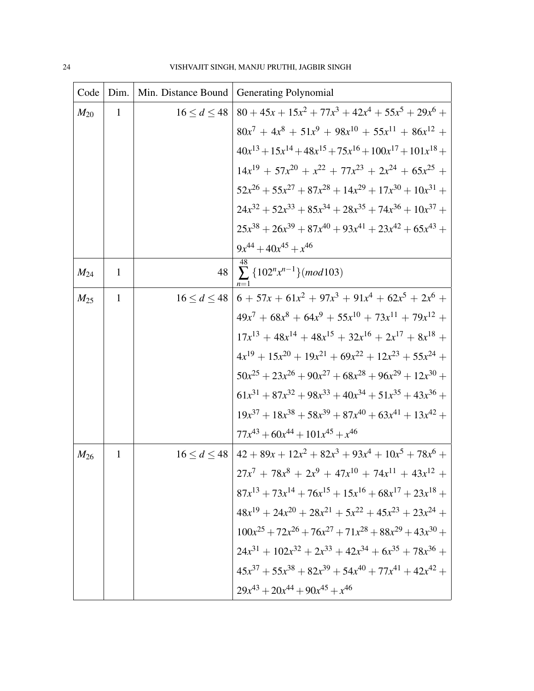| Code     | Dim.         | Min. Distance Bound | Generating Polynomial                                                 |
|----------|--------------|---------------------|-----------------------------------------------------------------------|
| $M_{20}$ | $\mathbf{1}$ | 16 < d < 48         | $80 + 45x + 15x^2 + 77x^3 + 42x^4 + 55x^5 + 29x^6 +$                  |
|          |              |                     | $80x^7 + 4x^8 + 51x^9 + 98x^{10} + 55x^{11} + 86x^{12} +$             |
|          |              |                     | $40x^{13} + 15x^{14} + 48x^{15} + 75x^{16} + 100x^{17} + 101x^{18} +$ |
|          |              |                     | $14x^{19} + 57x^{20} + x^{22} + 77x^{23} + 2x^{24} + 65x^{25} +$      |
|          |              |                     | $52x^{26} + 55x^{27} + 87x^{28} + 14x^{29} + 17x^{30} + 10x^{31} +$   |
|          |              |                     | $24x^{32} + 52x^{33} + 85x^{34} + 28x^{35} + 74x^{36} + 10x^{37} +$   |
|          |              |                     | $25x^{38} + 26x^{39} + 87x^{40} + 93x^{41} + 23x^{42} + 65x^{43} +$   |
|          |              |                     | $9x^{44} + 40x^{45} + x^{46}$                                         |
| $M_{24}$ | 1            | 48                  | $\sum \{102^n x^{n-1}\} (mod 103)$                                    |
| $M_{25}$ | 1            | 16 < d < 48         | $6 + 57x + 61x^2 + 97x^3 + 91x^4 + 62x^5 + 2x^6 +$                    |
|          |              |                     | $49x^{7} + 68x^{8} + 64x^{9} + 55x^{10} + 73x^{11} + 79x^{12} +$      |
|          |              |                     | $17x^{13} + 48x^{14} + 48x^{15} + 32x^{16} + 2x^{17} + 8x^{18} +$     |
|          |              |                     | $4x^{19} + 15x^{20} + 19x^{21} + 69x^{22} + 12x^{23} + 55x^{24} +$    |
|          |              |                     | $50x^{25} + 23x^{26} + 90x^{27} + 68x^{28} + 96x^{29} + 12x^{30} +$   |
|          |              |                     | $61x^{31} + 87x^{32} + 98x^{33} + 40x^{34} + 51x^{35} + 43x^{36} +$   |
|          |              |                     | $19x^{37} + 18x^{38} + 58x^{39} + 87x^{40} + 63x^{41} + 13x^{42} +$   |
|          |              |                     | $77x^{43} + 60x^{44} + 101x^{45} + x^{46}$                            |
| $M_{26}$ | $\mathbf{1}$ |                     | $16 < d < 48$   $42 + 89x + 12x^2 + 82x^3 + 93x^4 + 10x^5 + 78x^6 +$  |
|          |              |                     | $27x^{7} + 78x^{8} + 2x^{9} + 47x^{10} + 74x^{11} + 43x^{12} +$       |
|          |              |                     | $87x^{13} + 73x^{14} + 76x^{15} + 15x^{16} + 68x^{17} + 23x^{18} +$   |
|          |              |                     | $48x^{19} + 24x^{20} + 28x^{21} + 5x^{22} + 45x^{23} + 23x^{24} +$    |
|          |              |                     | $100x^{25} + 72x^{26} + 76x^{27} + 71x^{28} + 88x^{29} + 43x^{30} +$  |
|          |              |                     | $24x^{31} + 102x^{32} + 2x^{33} + 42x^{34} + 6x^{35} + 78x^{36} +$    |
|          |              |                     | $45x^{37} + 55x^{38} + 82x^{39} + 54x^{40} + 77x^{41} + 42x^{42} +$   |
|          |              |                     | $29x^{43} + 20x^{44} + 90x^{45} + x^{46}$                             |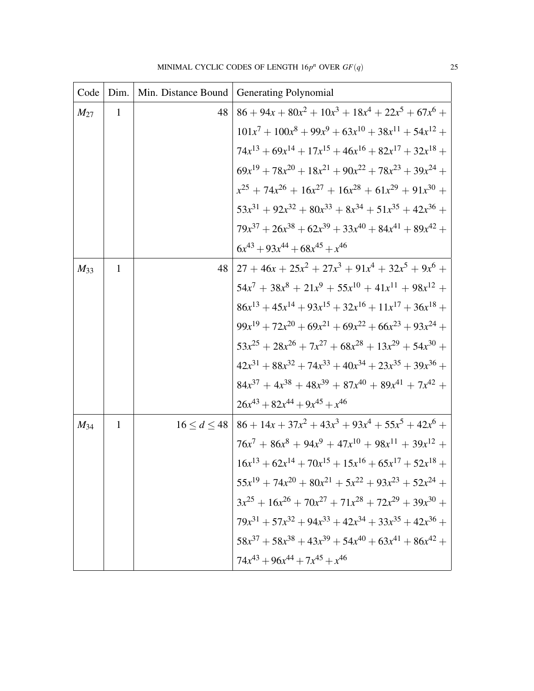| Code     | Dim.         | Min. Distance Bound | <b>Generating Polynomial</b>                                             |
|----------|--------------|---------------------|--------------------------------------------------------------------------|
| $M_{27}$ | 1            | 48                  | $86 + 94x + 80x^{2} + 10x^{3} + 18x^{4} + 22x^{5} + 67x^{6} +$           |
|          |              |                     | $101x^7 + 100x^8 + 99x^9 + 63x^{10} + 38x^{11} + 54x^{12} +$             |
|          |              |                     | $74x^{13} + 69x^{14} + 17x^{15} + 46x^{16} + 82x^{17} + 32x^{18} +$      |
|          |              |                     | $69x^{19} + 78x^{20} + 18x^{21} + 90x^{22} + 78x^{23} + 39x^{24} +$      |
|          |              |                     | $x^{25} + 74x^{26} + 16x^{27} + 16x^{28} + 61x^{29} + 91x^{30} +$        |
|          |              |                     | $53x^{31} + 92x^{32} + 80x^{33} + 8x^{34} + 51x^{35} + 42x^{36} +$       |
|          |              |                     | $79x^{37} + 26x^{38} + 62x^{39} + 33x^{40} + 84x^{41} + 89x^{42} +$      |
|          |              |                     | $6x^{43} + 93x^{44} + 68x^{45} + x^{46}$                                 |
| $M_{33}$ | 1            | 48                  | $27 + 46x + 25x^{2} + 27x^{3} + 91x^{4} + 32x^{5} + 9x^{6} +$            |
|          |              |                     | $54x^7 + 38x^8 + 21x^9 + 55x^{10} + 41x^{11} + 98x^{12} +$               |
|          |              |                     | $86x^{13} + 45x^{14} + 93x^{15} + 32x^{16} + 11x^{17} + 36x^{18} +$      |
|          |              |                     | $99x^{19} + 72x^{20} + 69x^{21} + 69x^{22} + 66x^{23} + 93x^{24} +$      |
|          |              |                     | $53x^{25} + 28x^{26} + 7x^{27} + 68x^{28} + 13x^{29} + 54x^{30} +$       |
|          |              |                     | $42x^{31} + 88x^{32} + 74x^{33} + 40x^{34} + 23x^{35} + 39x^{36} +$      |
|          |              |                     | $84x^{37} + 4x^{38} + 48x^{39} + 87x^{40} + 89x^{41} + 7x^{42} +$        |
|          |              |                     | $26x^{43} + 82x^{44} + 9x^{45} + x^{46}$                                 |
| $M_{34}$ | $\mathbf{1}$ |                     | $16 \le d \le 48$   $86 + 14x + 37x^2 + 43x^3 + 93x^4 + 55x^5 + 42x^6 +$ |
|          |              |                     | $76x^7 + 86x^8 + 94x^9 + 47x^{10} + 98x^{11} + 39x^{12} +$               |
|          |              |                     | $16x^{13} + 62x^{14} + 70x^{15} + 15x^{16} + 65x^{17} + 52x^{18} +$      |
|          |              |                     | $55x^{19} + 74x^{20} + 80x^{21} + 5x^{22} + 93x^{23} + 52x^{24} +$       |
|          |              |                     | $3x^{25} + 16x^{26} + 70x^{27} + 71x^{28} + 72x^{29} + 39x^{30} +$       |
|          |              |                     | $79x^{31} + 57x^{32} + 94x^{33} + 42x^{34} + 33x^{35} + 42x^{36} +$      |
|          |              |                     | $58x^{37} + 58x^{38} + 43x^{39} + 54x^{40} + 63x^{41} + 86x^{42} +$      |
|          |              |                     | $74x^{43} + 96x^{44} + 7x^{45} + x^{46}$                                 |